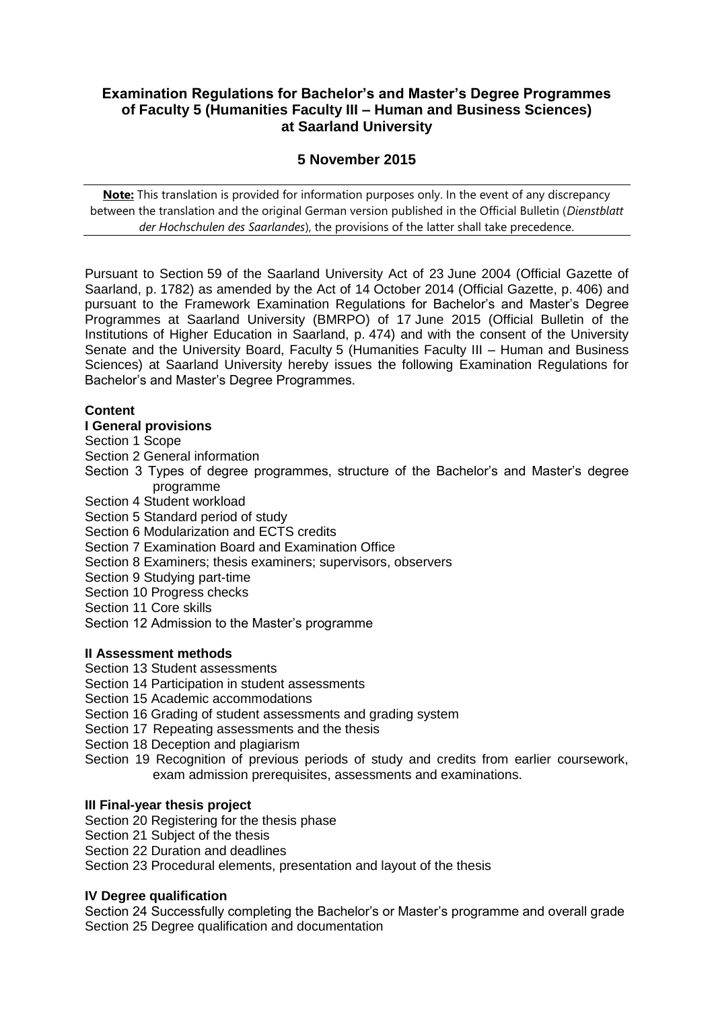# **Examination Regulations for Bachelor's and Master's Degree Programmes of Faculty 5 (Humanities Faculty III – Human and Business Sciences) at Saarland University**

# **5 November 2015**

**Note:** This translation is provided for information purposes only. In the event of any discrepancy between the translation and the original German version published in the Official Bulletin (*Dienstblatt der Hochschulen des Saarlandes*), the provisions of the latter shall take precedence.

Pursuant to Section 59 of the Saarland University Act of 23 June 2004 (Official Gazette of Saarland, p. 1782) as amended by the Act of 14 October 2014 (Official Gazette, p. 406) and pursuant to the Framework Examination Regulations for Bachelor's and Master's Degree Programmes at Saarland University (BMRPO) of 17 June 2015 (Official Bulletin of the Institutions of Higher Education in Saarland, p. 474) and with the consent of the University Senate and the University Board, Faculty 5 (Humanities Faculty III – Human and Business Sciences) at Saarland University hereby issues the following Examination Regulations for Bachelor's and Master's Degree Programmes.

# **Content**

# **I General provisions**

- Section 1 Scope
- Section 2 General information
- Section 3 Types of degree programmes, structure of the Bachelor's and Master's degree programme
- Section 4 Student workload
- Section 5 Standard period of study
- Section 6 Modularization and ECTS credits
- Section 7 Examination Board and Examination Office
- Section 8 Examiners; thesis examiners; supervisors, observers
- Section 9 Studying part-time
- Section 10 Progress checks
- Section 11 Core skills
- Section 12 Admission to the Master's programme

# **II Assessment methods**

- Section 13 Student assessments
- Section 14 Participation in student assessments
- Section 15 Academic accommodations
- Section 16 Grading of student assessments and grading system
- Section 17 Repeating assessments and the thesis
- Section 18 Deception and plagiarism
- Section 19 Recognition of previous periods of study and credits from earlier coursework, exam admission prerequisites, assessments and examinations.

# **III Final-year thesis project**

- Section 20 Registering for the thesis phase
- Section 21 Subject of the thesis
- Section 22 Duration and deadlines

Section 23 Procedural elements, presentation and layout of the thesis

# **IV Degree qualification**

Section 24 Successfully completing the Bachelor's or Master's programme and overall grade Section 25 Degree qualification and documentation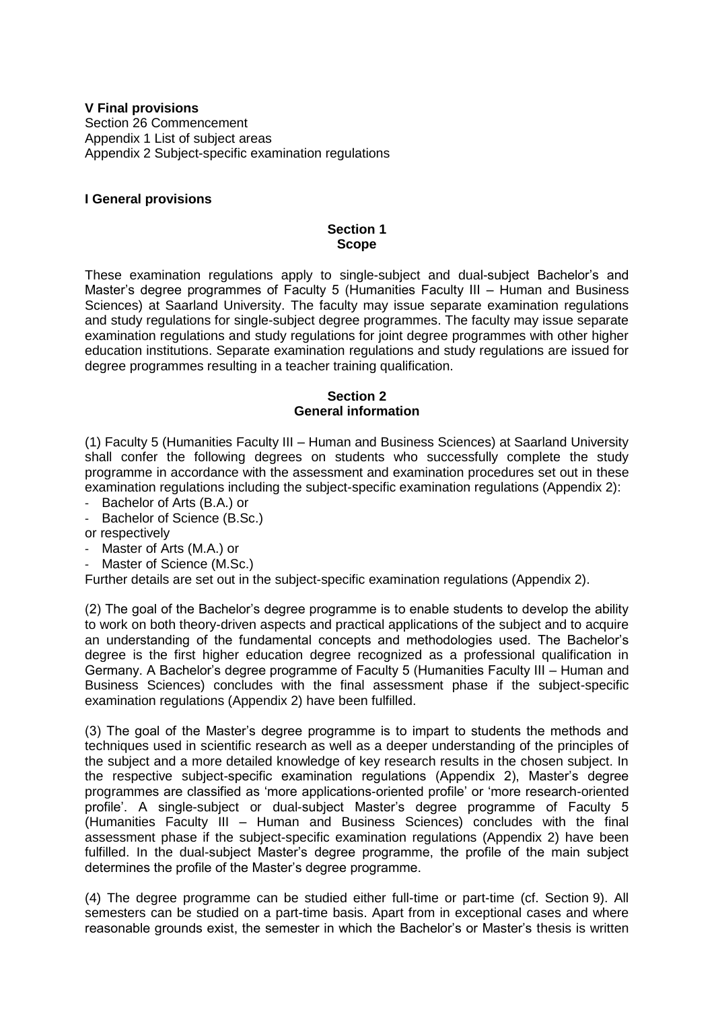#### **V Final provisions**  Section 26 Commencement Appendix 1 List of subject areas Appendix 2 Subject-specific examination regulations

# **I General provisions**

### **Section 1 Scope**

These examination regulations apply to single-subject and dual-subject Bachelor's and Master's degree programmes of Faculty 5 (Humanities Faculty III – Human and Business Sciences) at Saarland University. The faculty may issue separate examination regulations and study regulations for single-subject degree programmes. The faculty may issue separate examination regulations and study regulations for joint degree programmes with other higher education institutions. Separate examination regulations and study regulations are issued for degree programmes resulting in a teacher training qualification.

### **Section 2 General information**

(1) Faculty 5 (Humanities Faculty III – Human and Business Sciences) at Saarland University shall confer the following degrees on students who successfully complete the study programme in accordance with the assessment and examination procedures set out in these examination regulations including the subject-specific examination regulations (Appendix 2):

- Bachelor of Arts (B.A.) or
- Bachelor of Science (B.Sc.)

or respectively

- Master of Arts (M.A.) or
- Master of Science (M.Sc.)

Further details are set out in the subject-specific examination regulations (Appendix 2).

(2) The goal of the Bachelor's degree programme is to enable students to develop the ability to work on both theory-driven aspects and practical applications of the subject and to acquire an understanding of the fundamental concepts and methodologies used. The Bachelor's degree is the first higher education degree recognized as a professional qualification in Germany. A Bachelor's degree programme of Faculty 5 (Humanities Faculty III – Human and Business Sciences) concludes with the final assessment phase if the subject-specific examination regulations (Appendix 2) have been fulfilled.

(3) The goal of the Master's degree programme is to impart to students the methods and techniques used in scientific research as well as a deeper understanding of the principles of the subject and a more detailed knowledge of key research results in the chosen subject. In the respective subject-specific examination regulations (Appendix 2), Master's degree programmes are classified as 'more applications-oriented profile' or 'more research-oriented profile'. A single-subject or dual-subject Master's degree programme of Faculty 5 (Humanities Faculty III – Human and Business Sciences) concludes with the final assessment phase if the subject-specific examination regulations (Appendix 2) have been fulfilled. In the dual-subject Master's degree programme, the profile of the main subject determines the profile of the Master's degree programme.

(4) The degree programme can be studied either full-time or part-time (cf. Section 9). All semesters can be studied on a part-time basis. Apart from in exceptional cases and where reasonable grounds exist, the semester in which the Bachelor's or Master's thesis is written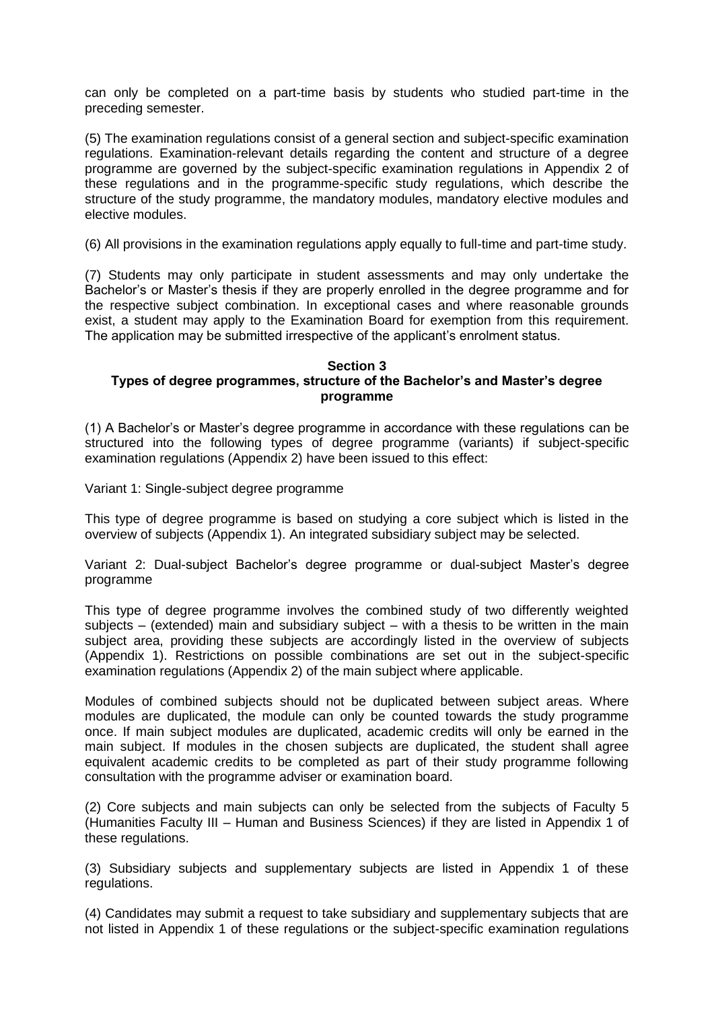can only be completed on a part-time basis by students who studied part-time in the preceding semester.

(5) The examination regulations consist of a general section and subject-specific examination regulations. Examination-relevant details regarding the content and structure of a degree programme are governed by the subject-specific examination regulations in Appendix 2 of these regulations and in the programme-specific study regulations, which describe the structure of the study programme, the mandatory modules, mandatory elective modules and elective modules.

(6) All provisions in the examination regulations apply equally to full-time and part-time study.

(7) Students may only participate in student assessments and may only undertake the Bachelor's or Master's thesis if they are properly enrolled in the degree programme and for the respective subject combination. In exceptional cases and where reasonable grounds exist, a student may apply to the Examination Board for exemption from this requirement. The application may be submitted irrespective of the applicant's enrolment status.

#### **Section 3**

## **Types of degree programmes, structure of the Bachelor's and Master's degree programme**

(1) A Bachelor's or Master's degree programme in accordance with these regulations can be structured into the following types of degree programme (variants) if subject-specific examination regulations (Appendix 2) have been issued to this effect:

Variant 1: Single-subject degree programme

This type of degree programme is based on studying a core subject which is listed in the overview of subjects (Appendix 1). An integrated subsidiary subject may be selected.

Variant 2: Dual-subject Bachelor's degree programme or dual-subject Master's degree programme

This type of degree programme involves the combined study of two differently weighted subjects – (extended) main and subsidiary subject – with a thesis to be written in the main subject area, providing these subjects are accordingly listed in the overview of subjects (Appendix 1). Restrictions on possible combinations are set out in the subject-specific examination regulations (Appendix 2) of the main subject where applicable.

Modules of combined subjects should not be duplicated between subject areas. Where modules are duplicated, the module can only be counted towards the study programme once. If main subject modules are duplicated, academic credits will only be earned in the main subject. If modules in the chosen subjects are duplicated, the student shall agree equivalent academic credits to be completed as part of their study programme following consultation with the programme adviser or examination board.

(2) Core subjects and main subjects can only be selected from the subjects of Faculty 5 (Humanities Faculty III – Human and Business Sciences) if they are listed in Appendix 1 of these regulations.

(3) Subsidiary subjects and supplementary subjects are listed in Appendix 1 of these regulations.

(4) Candidates may submit a request to take subsidiary and supplementary subjects that are not listed in Appendix 1 of these regulations or the subject-specific examination regulations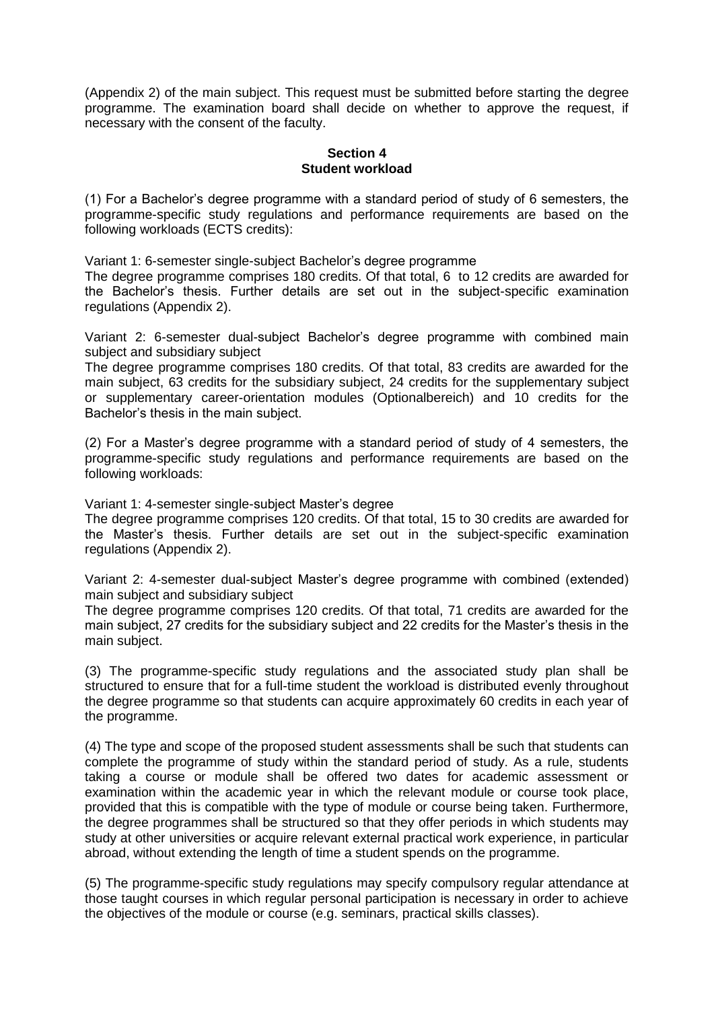(Appendix 2) of the main subject. This request must be submitted before starting the degree programme. The examination board shall decide on whether to approve the request, if necessary with the consent of the faculty.

#### **Section 4 Student workload**

(1) For a Bachelor's degree programme with a standard period of study of 6 semesters, the programme-specific study regulations and performance requirements are based on the following workloads (ECTS credits):

Variant 1: 6-semester single-subject Bachelor's degree programme

The degree programme comprises 180 credits. Of that total, 6 to 12 credits are awarded for the Bachelor's thesis. Further details are set out in the subject-specific examination regulations (Appendix 2).

Variant 2: 6-semester dual-subject Bachelor's degree programme with combined main subject and subsidiary subject

The degree programme comprises 180 credits. Of that total, 83 credits are awarded for the main subject, 63 credits for the subsidiary subject, 24 credits for the supplementary subject or supplementary career-orientation modules (Optionalbereich) and 10 credits for the Bachelor's thesis in the main subject.

(2) For a Master's degree programme with a standard period of study of 4 semesters, the programme-specific study regulations and performance requirements are based on the following workloads:

Variant 1: 4-semester single-subject Master's degree

The degree programme comprises 120 credits. Of that total, 15 to 30 credits are awarded for the Master's thesis. Further details are set out in the subject-specific examination regulations (Appendix 2).

Variant 2: 4-semester dual-subject Master's degree programme with combined (extended) main subject and subsidiary subject

The degree programme comprises 120 credits. Of that total, 71 credits are awarded for the main subject, 27 credits for the subsidiary subject and 22 credits for the Master's thesis in the main subject.

(3) The programme-specific study regulations and the associated study plan shall be structured to ensure that for a full-time student the workload is distributed evenly throughout the degree programme so that students can acquire approximately 60 credits in each year of the programme.

(4) The type and scope of the proposed student assessments shall be such that students can complete the programme of study within the standard period of study. As a rule, students taking a course or module shall be offered two dates for academic assessment or examination within the academic year in which the relevant module or course took place, provided that this is compatible with the type of module or course being taken. Furthermore, the degree programmes shall be structured so that they offer periods in which students may study at other universities or acquire relevant external practical work experience, in particular abroad, without extending the length of time a student spends on the programme.

(5) The programme-specific study regulations may specify compulsory regular attendance at those taught courses in which regular personal participation is necessary in order to achieve the objectives of the module or course (e.g. seminars, practical skills classes).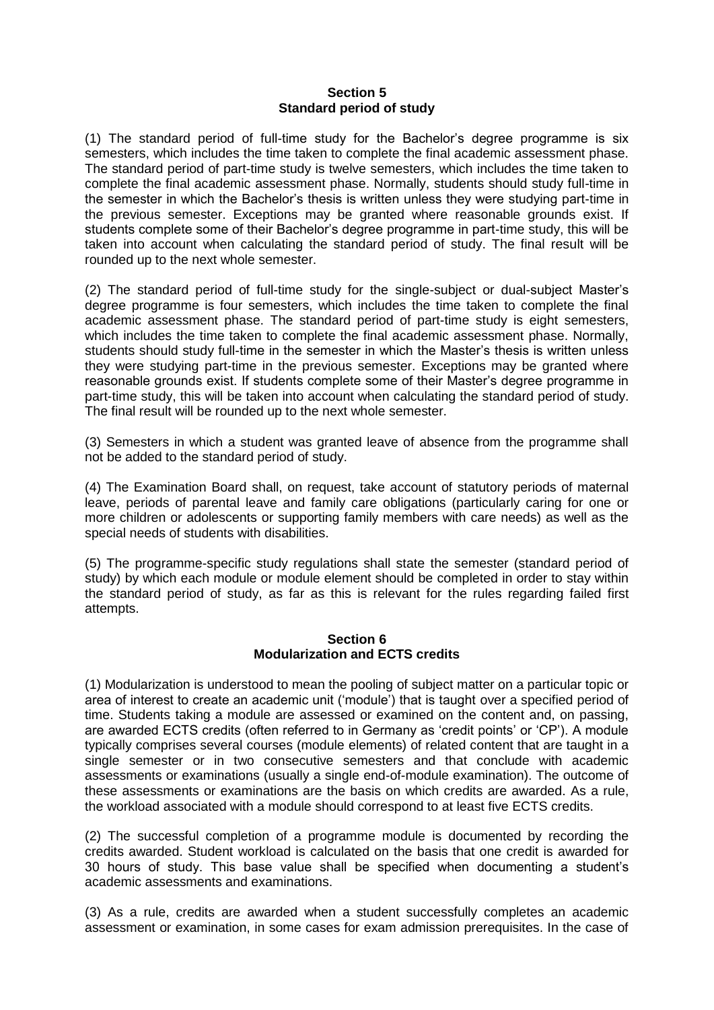## **Section 5 Standard period of study**

(1) The standard period of full-time study for the Bachelor's degree programme is six semesters, which includes the time taken to complete the final academic assessment phase. The standard period of part-time study is twelve semesters, which includes the time taken to complete the final academic assessment phase. Normally, students should study full-time in the semester in which the Bachelor's thesis is written unless they were studying part-time in the previous semester. Exceptions may be granted where reasonable grounds exist. If students complete some of their Bachelor's degree programme in part-time study, this will be taken into account when calculating the standard period of study. The final result will be rounded up to the next whole semester.

(2) The standard period of full-time study for the single-subject or dual-subject Master's degree programme is four semesters, which includes the time taken to complete the final academic assessment phase. The standard period of part-time study is eight semesters, which includes the time taken to complete the final academic assessment phase. Normally, students should study full-time in the semester in which the Master's thesis is written unless they were studying part-time in the previous semester. Exceptions may be granted where reasonable grounds exist. If students complete some of their Master's degree programme in part-time study, this will be taken into account when calculating the standard period of study. The final result will be rounded up to the next whole semester.

(3) Semesters in which a student was granted leave of absence from the programme shall not be added to the standard period of study.

(4) The Examination Board shall, on request, take account of statutory periods of maternal leave, periods of parental leave and family care obligations (particularly caring for one or more children or adolescents or supporting family members with care needs) as well as the special needs of students with disabilities.

(5) The programme-specific study regulations shall state the semester (standard period of study) by which each module or module element should be completed in order to stay within the standard period of study, as far as this is relevant for the rules regarding failed first attempts.

### **Section 6 Modularization and ECTS credits**

(1) Modularization is understood to mean the pooling of subject matter on a particular topic or area of interest to create an academic unit ('module') that is taught over a specified period of time. Students taking a module are assessed or examined on the content and, on passing, are awarded ECTS credits (often referred to in Germany as 'credit points' or 'CP'). A module typically comprises several courses (module elements) of related content that are taught in a single semester or in two consecutive semesters and that conclude with academic assessments or examinations (usually a single end-of-module examination). The outcome of these assessments or examinations are the basis on which credits are awarded. As a rule, the workload associated with a module should correspond to at least five ECTS credits.

(2) The successful completion of a programme module is documented by recording the credits awarded. Student workload is calculated on the basis that one credit is awarded for 30 hours of study. This base value shall be specified when documenting a student's academic assessments and examinations.

(3) As a rule, credits are awarded when a student successfully completes an academic assessment or examination, in some cases for exam admission prerequisites. In the case of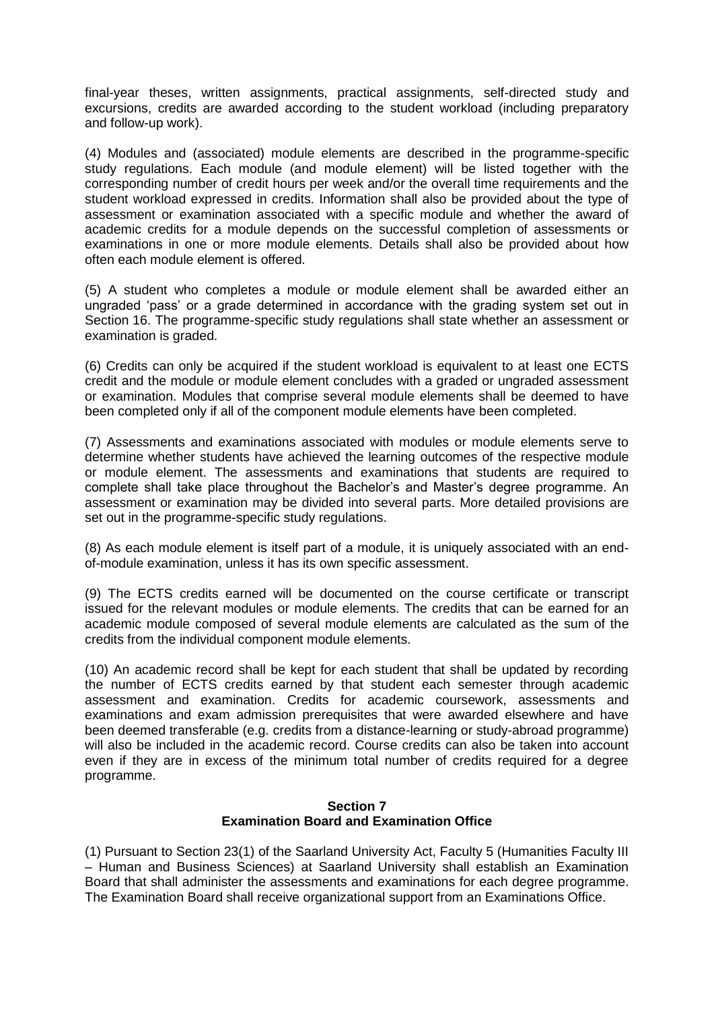final-year theses, written assignments, practical assignments, self-directed study and excursions, credits are awarded according to the student workload (including preparatory and follow-up work).

(4) Modules and (associated) module elements are described in the programme-specific study regulations. Each module (and module element) will be listed together with the corresponding number of credit hours per week and/or the overall time requirements and the student workload expressed in credits. Information shall also be provided about the type of assessment or examination associated with a specific module and whether the award of academic credits for a module depends on the successful completion of assessments or examinations in one or more module elements. Details shall also be provided about how often each module element is offered.

(5) A student who completes a module or module element shall be awarded either an ungraded 'pass' or a grade determined in accordance with the grading system set out in Section 16. The programme-specific study regulations shall state whether an assessment or examination is graded.

(6) Credits can only be acquired if the student workload is equivalent to at least one ECTS credit and the module or module element concludes with a graded or ungraded assessment or examination. Modules that comprise several module elements shall be deemed to have been completed only if all of the component module elements have been completed.

(7) Assessments and examinations associated with modules or module elements serve to determine whether students have achieved the learning outcomes of the respective module or module element. The assessments and examinations that students are required to complete shall take place throughout the Bachelor's and Master's degree programme. An assessment or examination may be divided into several parts. More detailed provisions are set out in the programme-specific study regulations.

(8) As each module element is itself part of a module, it is uniquely associated with an endof-module examination, unless it has its own specific assessment.

(9) The ECTS credits earned will be documented on the course certificate or transcript issued for the relevant modules or module elements. The credits that can be earned for an academic module composed of several module elements are calculated as the sum of the credits from the individual component module elements.

(10) An academic record shall be kept for each student that shall be updated by recording the number of ECTS credits earned by that student each semester through academic assessment and examination. Credits for academic coursework, assessments and examinations and exam admission prerequisites that were awarded elsewhere and have been deemed transferable (e.g. credits from a distance-learning or study-abroad programme) will also be included in the academic record. Course credits can also be taken into account even if they are in excess of the minimum total number of credits required for a degree programme.

### **Section 7 Examination Board and Examination Office**

(1) Pursuant to Section 23(1) of the Saarland University Act, Faculty 5 (Humanities Faculty III – Human and Business Sciences) at Saarland University shall establish an Examination Board that shall administer the assessments and examinations for each degree programme. The Examination Board shall receive organizational support from an Examinations Office.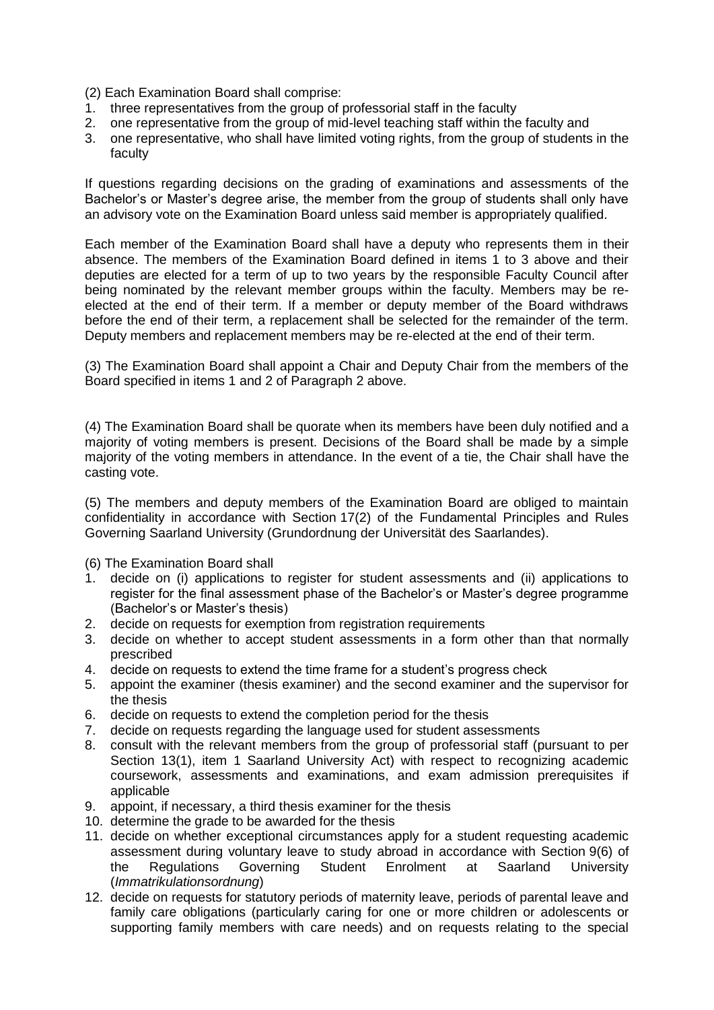(2) Each Examination Board shall comprise:

- 1. three representatives from the group of professorial staff in the faculty
- 2. one representative from the group of mid-level teaching staff within the faculty and
- 3. one representative, who shall have limited voting rights, from the group of students in the faculty

If questions regarding decisions on the grading of examinations and assessments of the Bachelor's or Master's degree arise, the member from the group of students shall only have an advisory vote on the Examination Board unless said member is appropriately qualified.

Each member of the Examination Board shall have a deputy who represents them in their absence. The members of the Examination Board defined in items 1 to 3 above and their deputies are elected for a term of up to two years by the responsible Faculty Council after being nominated by the relevant member groups within the faculty. Members may be reelected at the end of their term. If a member or deputy member of the Board withdraws before the end of their term, a replacement shall be selected for the remainder of the term. Deputy members and replacement members may be re-elected at the end of their term.

(3) The Examination Board shall appoint a Chair and Deputy Chair from the members of the Board specified in items 1 and 2 of Paragraph 2 above.

(4) The Examination Board shall be quorate when its members have been duly notified and a majority of voting members is present. Decisions of the Board shall be made by a simple majority of the voting members in attendance. In the event of a tie, the Chair shall have the casting vote.

(5) The members and deputy members of the Examination Board are obliged to maintain confidentiality in accordance with Section 17(2) of the Fundamental Principles and Rules Governing Saarland University (Grundordnung der Universität des Saarlandes).

(6) The Examination Board shall

- 1. decide on (i) applications to register for student assessments and (ii) applications to register for the final assessment phase of the Bachelor's or Master's degree programme (Bachelor's or Master's thesis)
- 2. decide on requests for exemption from registration requirements
- 3. decide on whether to accept student assessments in a form other than that normally prescribed
- 4. decide on requests to extend the time frame for a student's progress check
- 5. appoint the examiner (thesis examiner) and the second examiner and the supervisor for the thesis
- 6. decide on requests to extend the completion period for the thesis
- 7. decide on requests regarding the language used for student assessments
- 8. consult with the relevant members from the group of professorial staff (pursuant to per Section 13(1), item 1 Saarland University Act) with respect to recognizing academic coursework, assessments and examinations, and exam admission prerequisites if applicable
- 9. appoint, if necessary, a third thesis examiner for the thesis
- 10. determine the grade to be awarded for the thesis
- 11. decide on whether exceptional circumstances apply for a student requesting academic assessment during voluntary leave to study abroad in accordance with Section 9(6) of the Regulations Governing Student Enrolment at Saarland University (*Immatrikulationsordnung*)
- 12. decide on requests for statutory periods of maternity leave, periods of parental leave and family care obligations (particularly caring for one or more children or adolescents or supporting family members with care needs) and on requests relating to the special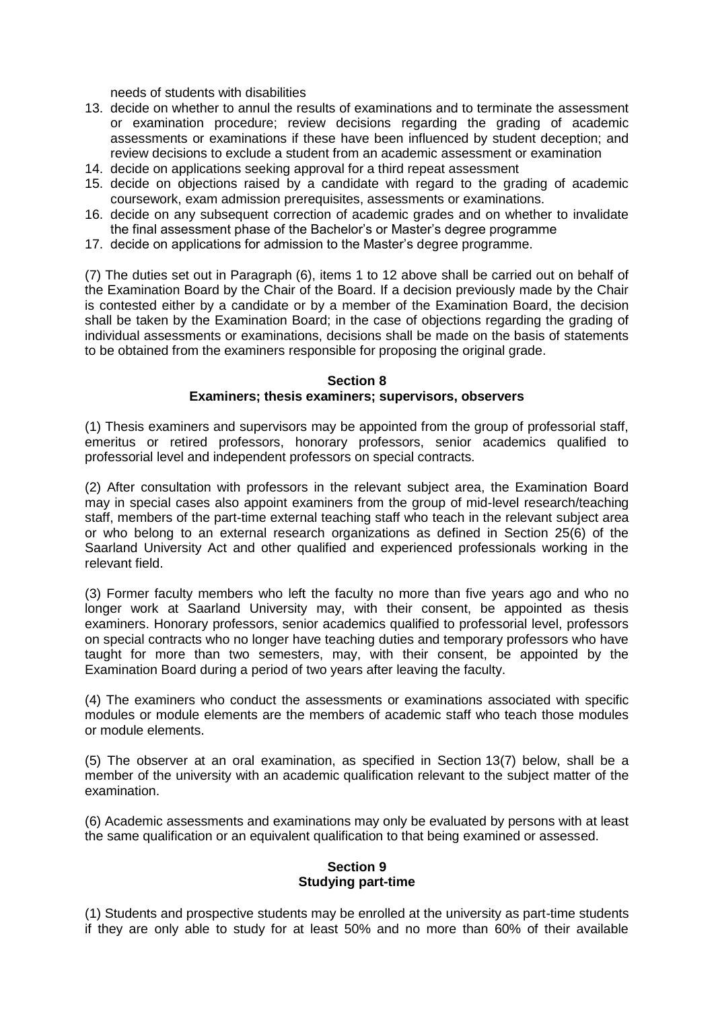needs of students with disabilities

- 13. decide on whether to annul the results of examinations and to terminate the assessment or examination procedure; review decisions regarding the grading of academic assessments or examinations if these have been influenced by student deception; and review decisions to exclude a student from an academic assessment or examination
- 14. decide on applications seeking approval for a third repeat assessment
- 15. decide on objections raised by a candidate with regard to the grading of academic coursework, exam admission prerequisites, assessments or examinations.
- 16. decide on any subsequent correction of academic grades and on whether to invalidate the final assessment phase of the Bachelor's or Master's degree programme
- 17. decide on applications for admission to the Master's degree programme.

(7) The duties set out in Paragraph (6), items 1 to 12 above shall be carried out on behalf of the Examination Board by the Chair of the Board. If a decision previously made by the Chair is contested either by a candidate or by a member of the Examination Board, the decision shall be taken by the Examination Board; in the case of objections regarding the grading of individual assessments or examinations, decisions shall be made on the basis of statements to be obtained from the examiners responsible for proposing the original grade.

#### **Section 8 Examiners; thesis examiners; supervisors, observers**

(1) Thesis examiners and supervisors may be appointed from the group of professorial staff, emeritus or retired professors, honorary professors, senior academics qualified to professorial level and independent professors on special contracts.

(2) After consultation with professors in the relevant subject area, the Examination Board may in special cases also appoint examiners from the group of mid-level research/teaching staff, members of the part-time external teaching staff who teach in the relevant subject area or who belong to an external research organizations as defined in Section 25(6) of the Saarland University Act and other qualified and experienced professionals working in the relevant field.

(3) Former faculty members who left the faculty no more than five years ago and who no longer work at Saarland University may, with their consent, be appointed as thesis examiners. Honorary professors, senior academics qualified to professorial level, professors on special contracts who no longer have teaching duties and temporary professors who have taught for more than two semesters, may, with their consent, be appointed by the Examination Board during a period of two years after leaving the faculty.

(4) The examiners who conduct the assessments or examinations associated with specific modules or module elements are the members of academic staff who teach those modules or module elements.

(5) The observer at an oral examination, as specified in Section 13(7) below, shall be a member of the university with an academic qualification relevant to the subject matter of the examination.

(6) Academic assessments and examinations may only be evaluated by persons with at least the same qualification or an equivalent qualification to that being examined or assessed.

# **Section 9 Studying part-time**

(1) Students and prospective students may be enrolled at the university as part-time students if they are only able to study for at least 50% and no more than 60% of their available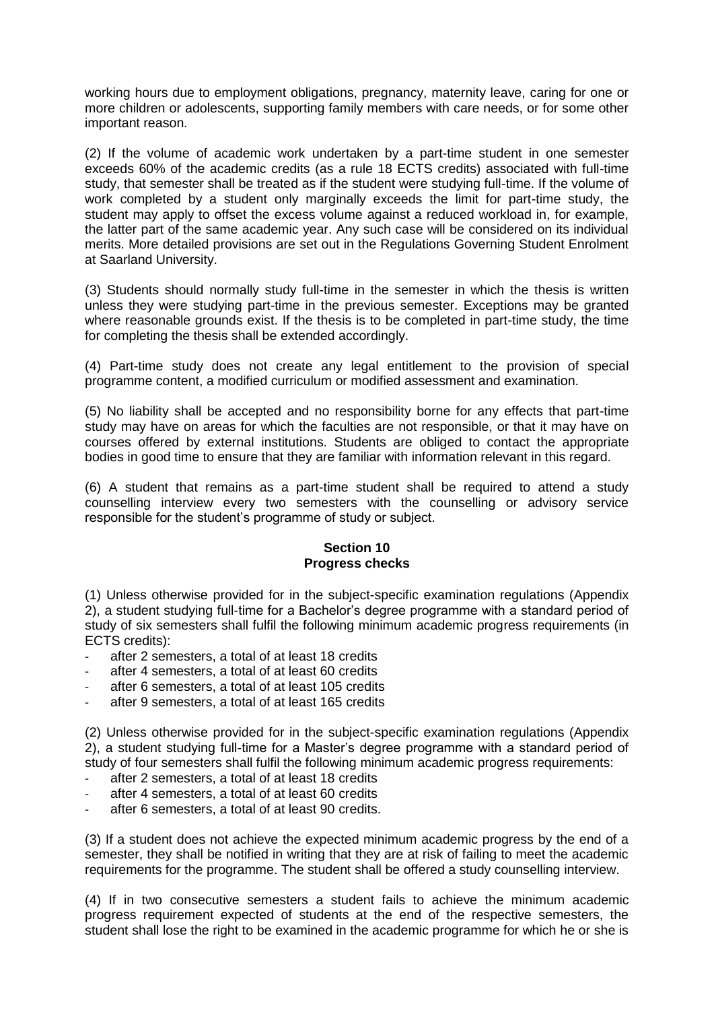working hours due to employment obligations, pregnancy, maternity leave, caring for one or more children or adolescents, supporting family members with care needs, or for some other important reason.

(2) If the volume of academic work undertaken by a part-time student in one semester exceeds 60% of the academic credits (as a rule 18 ECTS credits) associated with full-time study, that semester shall be treated as if the student were studying full-time. If the volume of work completed by a student only marginally exceeds the limit for part-time study, the student may apply to offset the excess volume against a reduced workload in, for example, the latter part of the same academic year. Any such case will be considered on its individual merits. More detailed provisions are set out in the Regulations Governing Student Enrolment at Saarland University.

(3) Students should normally study full-time in the semester in which the thesis is written unless they were studying part-time in the previous semester. Exceptions may be granted where reasonable grounds exist. If the thesis is to be completed in part-time study, the time for completing the thesis shall be extended accordingly.

(4) Part-time study does not create any legal entitlement to the provision of special programme content, a modified curriculum or modified assessment and examination.

(5) No liability shall be accepted and no responsibility borne for any effects that part-time study may have on areas for which the faculties are not responsible, or that it may have on courses offered by external institutions. Students are obliged to contact the appropriate bodies in good time to ensure that they are familiar with information relevant in this regard.

(6) A student that remains as a part-time student shall be required to attend a study counselling interview every two semesters with the counselling or advisory service responsible for the student's programme of study or subject.

# **Section 10 Progress checks**

(1) Unless otherwise provided for in the subject-specific examination regulations (Appendix 2), a student studying full-time for a Bachelor's degree programme with a standard period of study of six semesters shall fulfil the following minimum academic progress requirements (in ECTS credits):

- after 2 semesters, a total of at least 18 credits
- after 4 semesters, a total of at least 60 credits
- after 6 semesters, a total of at least 105 credits
- after 9 semesters, a total of at least 165 credits

(2) Unless otherwise provided for in the subject-specific examination regulations (Appendix 2), a student studying full-time for a Master's degree programme with a standard period of study of four semesters shall fulfil the following minimum academic progress requirements:

- after 2 semesters, a total of at least 18 credits
- after 4 semesters, a total of at least 60 credits
- after 6 semesters, a total of at least 90 credits.

(3) If a student does not achieve the expected minimum academic progress by the end of a semester, they shall be notified in writing that they are at risk of failing to meet the academic requirements for the programme. The student shall be offered a study counselling interview.

(4) If in two consecutive semesters a student fails to achieve the minimum academic progress requirement expected of students at the end of the respective semesters, the student shall lose the right to be examined in the academic programme for which he or she is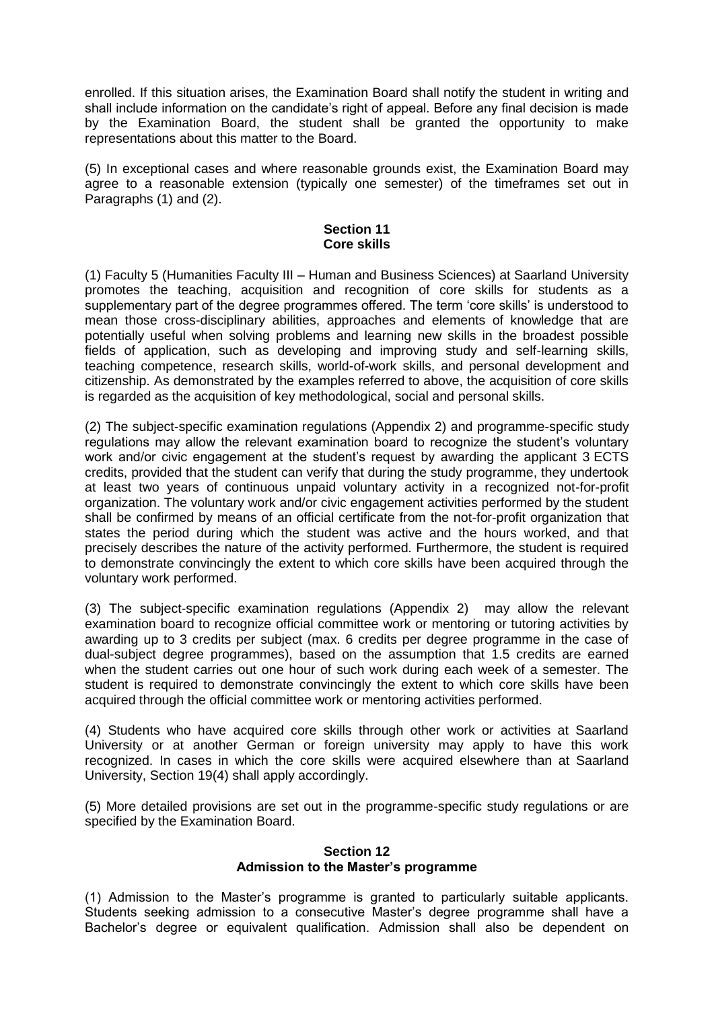enrolled. If this situation arises, the Examination Board shall notify the student in writing and shall include information on the candidate's right of appeal. Before any final decision is made by the Examination Board, the student shall be granted the opportunity to make representations about this matter to the Board.

(5) In exceptional cases and where reasonable grounds exist, the Examination Board may agree to a reasonable extension (typically one semester) of the timeframes set out in Paragraphs (1) and (2).

## **Section 11 Core skills**

(1) Faculty 5 (Humanities Faculty III – Human and Business Sciences) at Saarland University promotes the teaching, acquisition and recognition of core skills for students as a supplementary part of the degree programmes offered. The term 'core skills' is understood to mean those cross-disciplinary abilities, approaches and elements of knowledge that are potentially useful when solving problems and learning new skills in the broadest possible fields of application, such as developing and improving study and self-learning skills, teaching competence, research skills, world-of-work skills, and personal development and citizenship. As demonstrated by the examples referred to above, the acquisition of core skills is regarded as the acquisition of key methodological, social and personal skills.

(2) The subject-specific examination regulations (Appendix 2) and programme-specific study regulations may allow the relevant examination board to recognize the student's voluntary work and/or civic engagement at the student's request by awarding the applicant 3 ECTS credits, provided that the student can verify that during the study programme, they undertook at least two years of continuous unpaid voluntary activity in a recognized not-for-profit organization. The voluntary work and/or civic engagement activities performed by the student shall be confirmed by means of an official certificate from the not-for-profit organization that states the period during which the student was active and the hours worked, and that precisely describes the nature of the activity performed. Furthermore, the student is required to demonstrate convincingly the extent to which core skills have been acquired through the voluntary work performed.

(3) The subject-specific examination regulations (Appendix 2) may allow the relevant examination board to recognize official committee work or mentoring or tutoring activities by awarding up to 3 credits per subject (max. 6 credits per degree programme in the case of dual-subject degree programmes), based on the assumption that 1.5 credits are earned when the student carries out one hour of such work during each week of a semester. The student is required to demonstrate convincingly the extent to which core skills have been acquired through the official committee work or mentoring activities performed.

(4) Students who have acquired core skills through other work or activities at Saarland University or at another German or foreign university may apply to have this work recognized. In cases in which the core skills were acquired elsewhere than at Saarland University, Section 19(4) shall apply accordingly.

(5) More detailed provisions are set out in the programme-specific study regulations or are specified by the Examination Board.

### **Section 12 Admission to the Master's programme**

(1) Admission to the Master's programme is granted to particularly suitable applicants. Students seeking admission to a consecutive Master's degree programme shall have a Bachelor's degree or equivalent qualification. Admission shall also be dependent on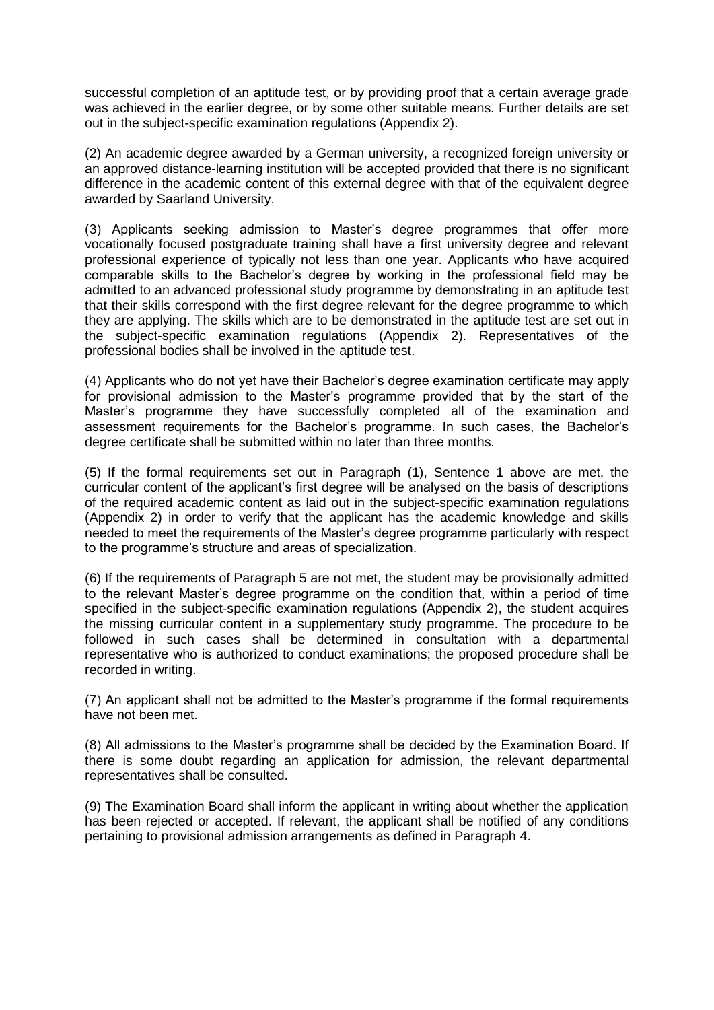successful completion of an aptitude test, or by providing proof that a certain average grade was achieved in the earlier degree, or by some other suitable means. Further details are set out in the subject-specific examination regulations (Appendix 2).

(2) An academic degree awarded by a German university, a recognized foreign university or an approved distance-learning institution will be accepted provided that there is no significant difference in the academic content of this external degree with that of the equivalent degree awarded by Saarland University.

(3) Applicants seeking admission to Master's degree programmes that offer more vocationally focused postgraduate training shall have a first university degree and relevant professional experience of typically not less than one year. Applicants who have acquired comparable skills to the Bachelor's degree by working in the professional field may be admitted to an advanced professional study programme by demonstrating in an aptitude test that their skills correspond with the first degree relevant for the degree programme to which they are applying. The skills which are to be demonstrated in the aptitude test are set out in the subject-specific examination regulations (Appendix 2). Representatives of the professional bodies shall be involved in the aptitude test.

(4) Applicants who do not yet have their Bachelor's degree examination certificate may apply for provisional admission to the Master's programme provided that by the start of the Master's programme they have successfully completed all of the examination and assessment requirements for the Bachelor's programme. In such cases, the Bachelor's degree certificate shall be submitted within no later than three months.

(5) If the formal requirements set out in Paragraph (1), Sentence 1 above are met, the curricular content of the applicant's first degree will be analysed on the basis of descriptions of the required academic content as laid out in the subject-specific examination regulations (Appendix 2) in order to verify that the applicant has the academic knowledge and skills needed to meet the requirements of the Master's degree programme particularly with respect to the programme's structure and areas of specialization.

(6) If the requirements of Paragraph 5 are not met, the student may be provisionally admitted to the relevant Master's degree programme on the condition that, within a period of time specified in the subject-specific examination regulations (Appendix 2), the student acquires the missing curricular content in a supplementary study programme. The procedure to be followed in such cases shall be determined in consultation with a departmental representative who is authorized to conduct examinations; the proposed procedure shall be recorded in writing.

(7) An applicant shall not be admitted to the Master's programme if the formal requirements have not been met.

(8) All admissions to the Master's programme shall be decided by the Examination Board. If there is some doubt regarding an application for admission, the relevant departmental representatives shall be consulted.

(9) The Examination Board shall inform the applicant in writing about whether the application has been rejected or accepted. If relevant, the applicant shall be notified of any conditions pertaining to provisional admission arrangements as defined in Paragraph 4.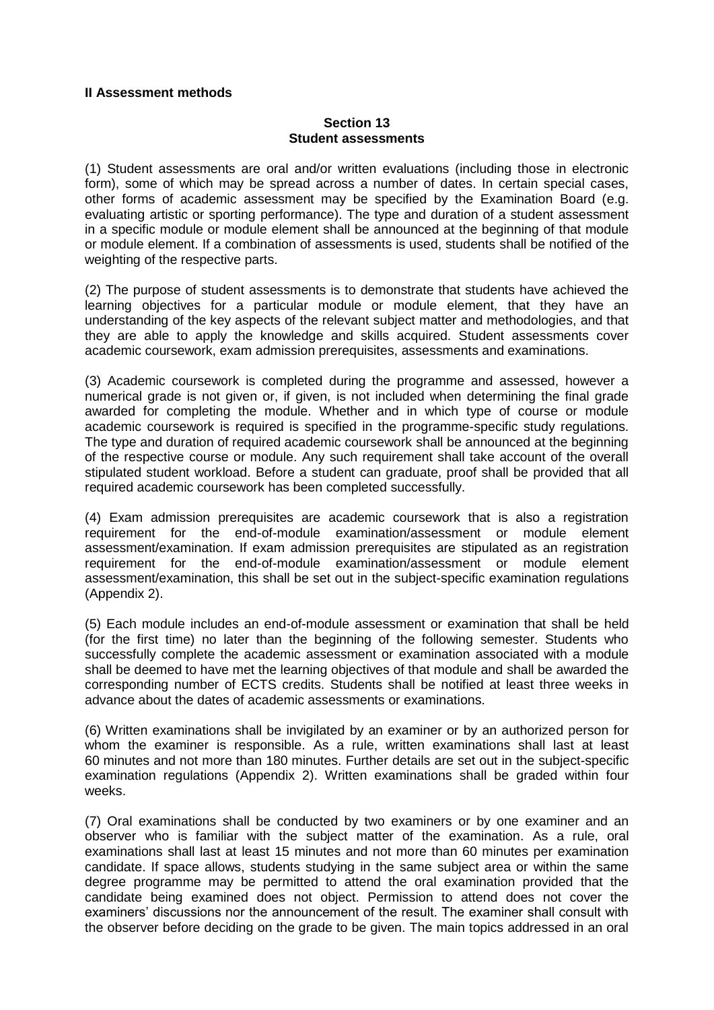#### **II Assessment methods**

### **Section 13 Student assessments**

(1) Student assessments are oral and/or written evaluations (including those in electronic form), some of which may be spread across a number of dates. In certain special cases, other forms of academic assessment may be specified by the Examination Board (e.g. evaluating artistic or sporting performance). The type and duration of a student assessment in a specific module or module element shall be announced at the beginning of that module or module element. If a combination of assessments is used, students shall be notified of the weighting of the respective parts.

(2) The purpose of student assessments is to demonstrate that students have achieved the learning objectives for a particular module or module element, that they have an understanding of the key aspects of the relevant subject matter and methodologies, and that they are able to apply the knowledge and skills acquired. Student assessments cover academic coursework, exam admission prerequisites, assessments and examinations.

(3) Academic coursework is completed during the programme and assessed, however a numerical grade is not given or, if given, is not included when determining the final grade awarded for completing the module. Whether and in which type of course or module academic coursework is required is specified in the programme-specific study regulations. The type and duration of required academic coursework shall be announced at the beginning of the respective course or module. Any such requirement shall take account of the overall stipulated student workload. Before a student can graduate, proof shall be provided that all required academic coursework has been completed successfully.

(4) Exam admission prerequisites are academic coursework that is also a registration requirement for the end-of-module examination/assessment or module element assessment/examination. If exam admission prerequisites are stipulated as an registration requirement for the end-of-module examination/assessment or module element assessment/examination, this shall be set out in the subject-specific examination regulations (Appendix 2).

(5) Each module includes an end-of-module assessment or examination that shall be held (for the first time) no later than the beginning of the following semester. Students who successfully complete the academic assessment or examination associated with a module shall be deemed to have met the learning objectives of that module and shall be awarded the corresponding number of ECTS credits. Students shall be notified at least three weeks in advance about the dates of academic assessments or examinations.

(6) Written examinations shall be invigilated by an examiner or by an authorized person for whom the examiner is responsible. As a rule, written examinations shall last at least 60 minutes and not more than 180 minutes. Further details are set out in the subject-specific examination regulations (Appendix 2). Written examinations shall be graded within four weeks.

(7) Oral examinations shall be conducted by two examiners or by one examiner and an observer who is familiar with the subject matter of the examination. As a rule, oral examinations shall last at least 15 minutes and not more than 60 minutes per examination candidate. If space allows, students studying in the same subject area or within the same degree programme may be permitted to attend the oral examination provided that the candidate being examined does not object. Permission to attend does not cover the examiners' discussions nor the announcement of the result. The examiner shall consult with the observer before deciding on the grade to be given. The main topics addressed in an oral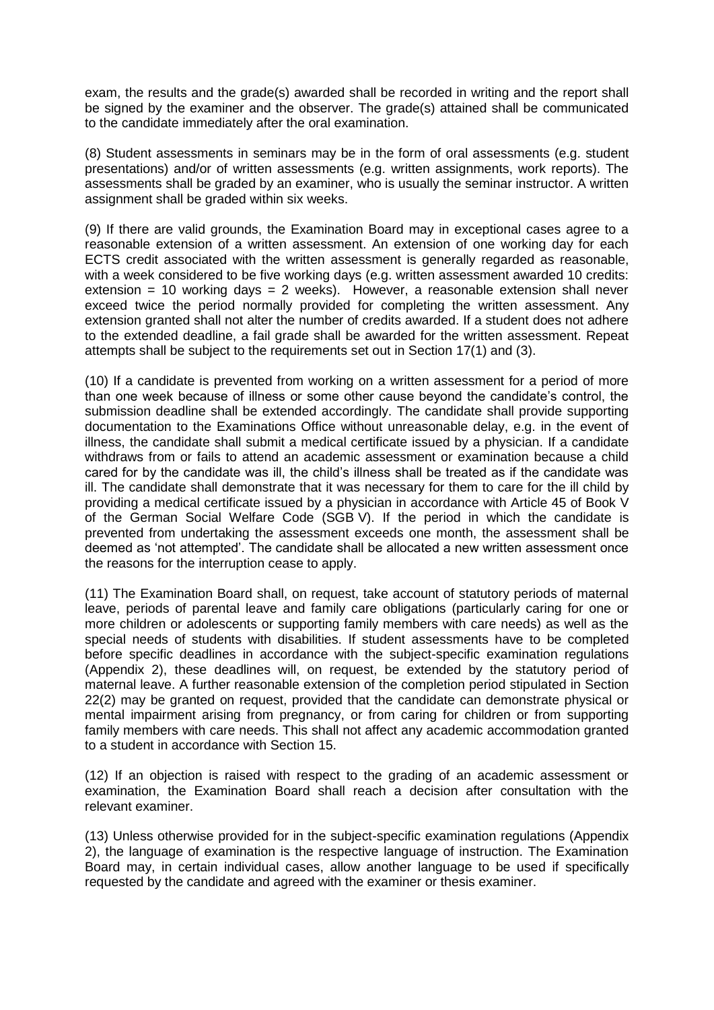exam, the results and the grade(s) awarded shall be recorded in writing and the report shall be signed by the examiner and the observer. The grade(s) attained shall be communicated to the candidate immediately after the oral examination.

(8) Student assessments in seminars may be in the form of oral assessments (e.g. student presentations) and/or of written assessments (e.g. written assignments, work reports). The assessments shall be graded by an examiner, who is usually the seminar instructor. A written assignment shall be graded within six weeks.

(9) If there are valid grounds, the Examination Board may in exceptional cases agree to a reasonable extension of a written assessment. An extension of one working day for each ECTS credit associated with the written assessment is generally regarded as reasonable, with a week considered to be five working days (e.g. written assessment awarded 10 credits: extension = 10 working days = 2 weeks). However, a reasonable extension shall never exceed twice the period normally provided for completing the written assessment. Any extension granted shall not alter the number of credits awarded. If a student does not adhere to the extended deadline, a fail grade shall be awarded for the written assessment. Repeat attempts shall be subject to the requirements set out in Section 17(1) and (3).

(10) If a candidate is prevented from working on a written assessment for a period of more than one week because of illness or some other cause beyond the candidate's control, the submission deadline shall be extended accordingly. The candidate shall provide supporting documentation to the Examinations Office without unreasonable delay, e.g. in the event of illness, the candidate shall submit a medical certificate issued by a physician. If a candidate withdraws from or fails to attend an academic assessment or examination because a child cared for by the candidate was ill, the child's illness shall be treated as if the candidate was ill. The candidate shall demonstrate that it was necessary for them to care for the ill child by providing a medical certificate issued by a physician in accordance with Article 45 of Book V of the German Social Welfare Code (SGB V). If the period in which the candidate is prevented from undertaking the assessment exceeds one month, the assessment shall be deemed as 'not attempted'. The candidate shall be allocated a new written assessment once the reasons for the interruption cease to apply.

(11) The Examination Board shall, on request, take account of statutory periods of maternal leave, periods of parental leave and family care obligations (particularly caring for one or more children or adolescents or supporting family members with care needs) as well as the special needs of students with disabilities. If student assessments have to be completed before specific deadlines in accordance with the subject-specific examination regulations (Appendix 2), these deadlines will, on request, be extended by the statutory period of maternal leave. A further reasonable extension of the completion period stipulated in Section 22(2) may be granted on request, provided that the candidate can demonstrate physical or mental impairment arising from pregnancy, or from caring for children or from supporting family members with care needs. This shall not affect any academic accommodation granted to a student in accordance with Section 15.

(12) If an objection is raised with respect to the grading of an academic assessment or examination, the Examination Board shall reach a decision after consultation with the relevant examiner.

(13) Unless otherwise provided for in the subject-specific examination regulations (Appendix 2), the language of examination is the respective language of instruction. The Examination Board may, in certain individual cases, allow another language to be used if specifically requested by the candidate and agreed with the examiner or thesis examiner.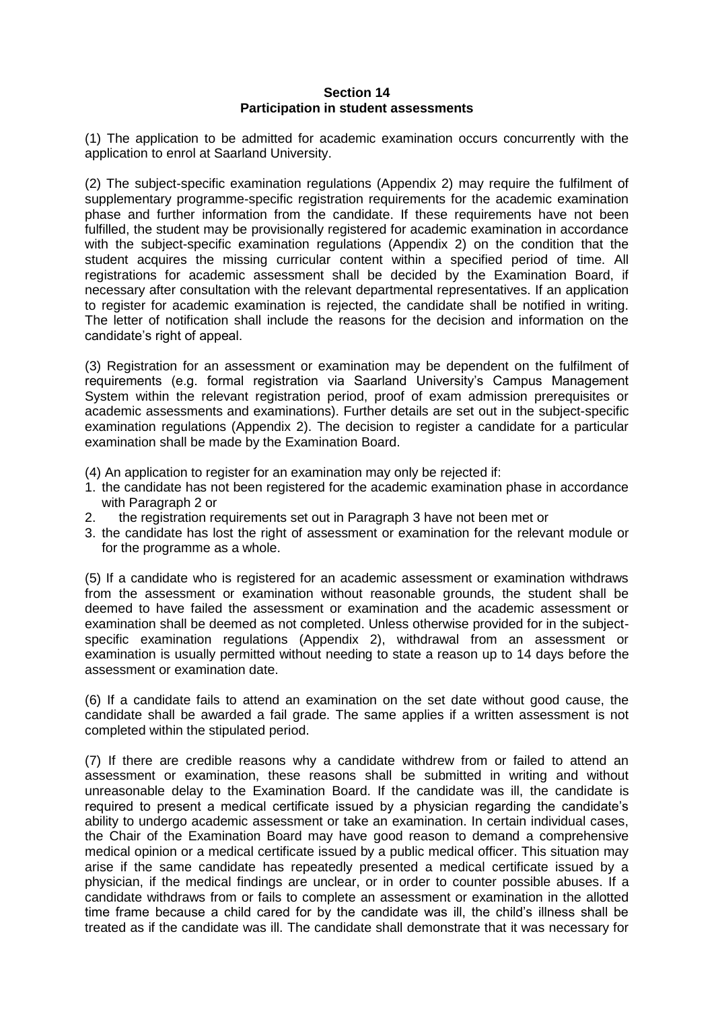#### **Section 14 Participation in student assessments**

(1) The application to be admitted for academic examination occurs concurrently with the application to enrol at Saarland University.

(2) The subject-specific examination regulations (Appendix 2) may require the fulfilment of supplementary programme-specific registration requirements for the academic examination phase and further information from the candidate. If these requirements have not been fulfilled, the student may be provisionally registered for academic examination in accordance with the subject-specific examination regulations (Appendix 2) on the condition that the student acquires the missing curricular content within a specified period of time. All registrations for academic assessment shall be decided by the Examination Board, if necessary after consultation with the relevant departmental representatives. If an application to register for academic examination is rejected, the candidate shall be notified in writing. The letter of notification shall include the reasons for the decision and information on the candidate's right of appeal.

(3) Registration for an assessment or examination may be dependent on the fulfilment of requirements (e.g. formal registration via Saarland University's Campus Management System within the relevant registration period, proof of exam admission prerequisites or academic assessments and examinations). Further details are set out in the subject-specific examination regulations (Appendix 2). The decision to register a candidate for a particular examination shall be made by the Examination Board.

(4) An application to register for an examination may only be rejected if:

- 1. the candidate has not been registered for the academic examination phase in accordance with Paragraph 2 or
- 2. the registration requirements set out in Paragraph 3 have not been met or
- 3. the candidate has lost the right of assessment or examination for the relevant module or for the programme as a whole.

(5) If a candidate who is registered for an academic assessment or examination withdraws from the assessment or examination without reasonable grounds, the student shall be deemed to have failed the assessment or examination and the academic assessment or examination shall be deemed as not completed. Unless otherwise provided for in the subjectspecific examination regulations (Appendix 2), withdrawal from an assessment or examination is usually permitted without needing to state a reason up to 14 days before the assessment or examination date.

(6) If a candidate fails to attend an examination on the set date without good cause, the candidate shall be awarded a fail grade. The same applies if a written assessment is not completed within the stipulated period.

(7) If there are credible reasons why a candidate withdrew from or failed to attend an assessment or examination, these reasons shall be submitted in writing and without unreasonable delay to the Examination Board. If the candidate was ill, the candidate is required to present a medical certificate issued by a physician regarding the candidate's ability to undergo academic assessment or take an examination. In certain individual cases, the Chair of the Examination Board may have good reason to demand a comprehensive medical opinion or a medical certificate issued by a public medical officer. This situation may arise if the same candidate has repeatedly presented a medical certificate issued by a physician, if the medical findings are unclear, or in order to counter possible abuses. If a candidate withdraws from or fails to complete an assessment or examination in the allotted time frame because a child cared for by the candidate was ill, the child's illness shall be treated as if the candidate was ill. The candidate shall demonstrate that it was necessary for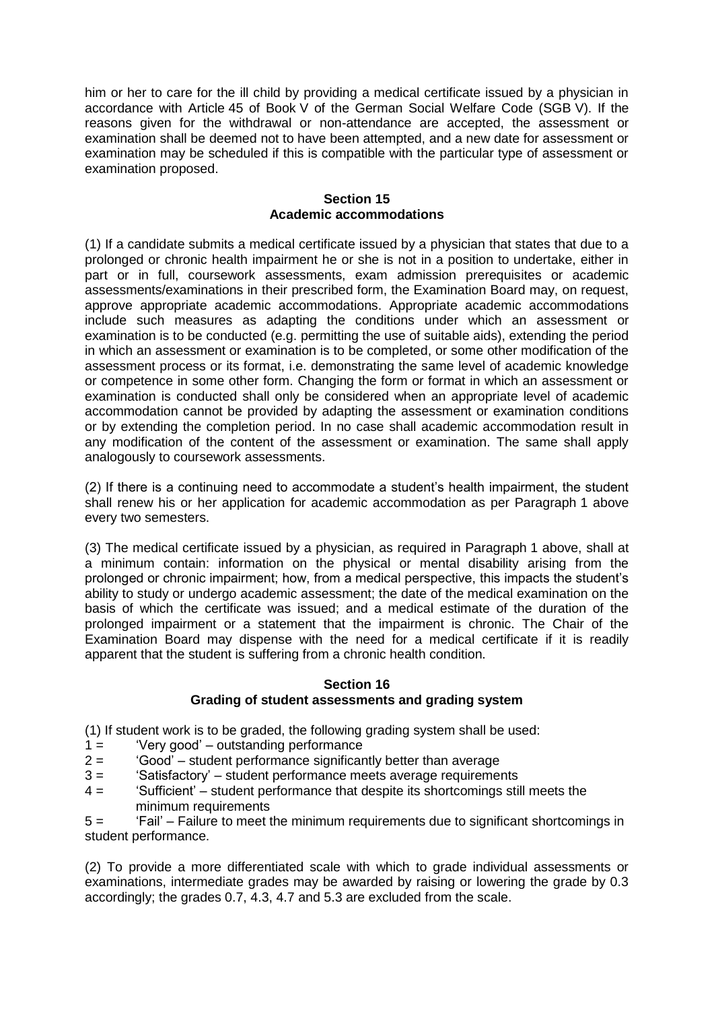him or her to care for the ill child by providing a medical certificate issued by a physician in accordance with Article 45 of Book V of the German Social Welfare Code (SGB V). If the reasons given for the withdrawal or non-attendance are accepted, the assessment or examination shall be deemed not to have been attempted, and a new date for assessment or examination may be scheduled if this is compatible with the particular type of assessment or examination proposed.

### **Section 15 Academic accommodations**

(1) If a candidate submits a medical certificate issued by a physician that states that due to a prolonged or chronic health impairment he or she is not in a position to undertake, either in part or in full, coursework assessments, exam admission prerequisites or academic assessments/examinations in their prescribed form, the Examination Board may, on request, approve appropriate academic accommodations. Appropriate academic accommodations include such measures as adapting the conditions under which an assessment or examination is to be conducted (e.g. permitting the use of suitable aids), extending the period in which an assessment or examination is to be completed, or some other modification of the assessment process or its format, i.e. demonstrating the same level of academic knowledge or competence in some other form. Changing the form or format in which an assessment or examination is conducted shall only be considered when an appropriate level of academic accommodation cannot be provided by adapting the assessment or examination conditions or by extending the completion period. In no case shall academic accommodation result in any modification of the content of the assessment or examination. The same shall apply analogously to coursework assessments.

(2) If there is a continuing need to accommodate a student's health impairment, the student shall renew his or her application for academic accommodation as per Paragraph 1 above every two semesters.

(3) The medical certificate issued by a physician, as required in Paragraph 1 above, shall at a minimum contain: information on the physical or mental disability arising from the prolonged or chronic impairment; how, from a medical perspective, this impacts the student's ability to study or undergo academic assessment; the date of the medical examination on the basis of which the certificate was issued; and a medical estimate of the duration of the prolonged impairment or a statement that the impairment is chronic. The Chair of the Examination Board may dispense with the need for a medical certificate if it is readily apparent that the student is suffering from a chronic health condition.

# **Section 16**

# **Grading of student assessments and grading system**

(1) If student work is to be graded, the following grading system shall be used:

- 1 = 'Very good' outstanding performance
- $2 =$  'Good' student performance significantly better than average
- 3 = 'Satisfactory' student performance meets average requirements
- 4 = 'Sufficient' student performance that despite its shortcomings still meets the minimum requirements

5 = 'Fail' – Failure to meet the minimum requirements due to significant shortcomings in student performance.

(2) To provide a more differentiated scale with which to grade individual assessments or examinations, intermediate grades may be awarded by raising or lowering the grade by 0.3 accordingly; the grades 0.7, 4.3, 4.7 and 5.3 are excluded from the scale.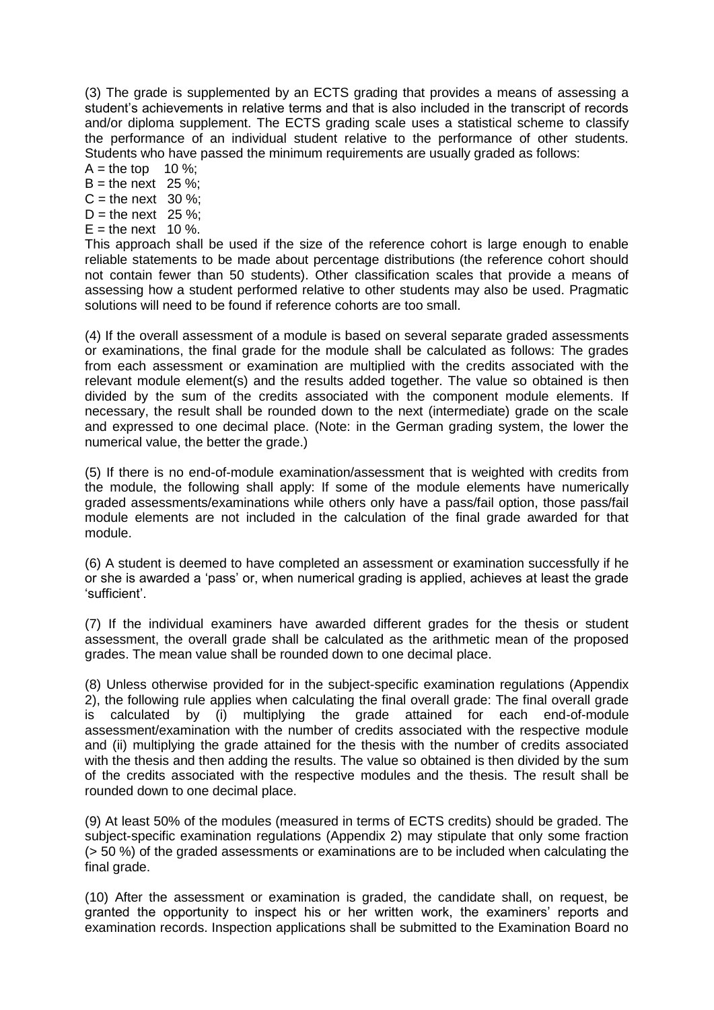(3) The grade is supplemented by an ECTS grading that provides a means of assessing a student's achievements in relative terms and that is also included in the transcript of records and/or diploma supplement. The ECTS grading scale uses a statistical scheme to classify the performance of an individual student relative to the performance of other students. Students who have passed the minimum requirements are usually graded as follows:

- $A =$  the top 10 %;
- $B =$  the next 25 %;
- $C =$  the next 30 %:
- D = the next  $25\%$ ;
- $E =$  the next 10 %.

This approach shall be used if the size of the reference cohort is large enough to enable reliable statements to be made about percentage distributions (the reference cohort should not contain fewer than 50 students). Other classification scales that provide a means of assessing how a student performed relative to other students may also be used. Pragmatic solutions will need to be found if reference cohorts are too small.

(4) If the overall assessment of a module is based on several separate graded assessments or examinations, the final grade for the module shall be calculated as follows: The grades from each assessment or examination are multiplied with the credits associated with the relevant module element(s) and the results added together. The value so obtained is then divided by the sum of the credits associated with the component module elements. If necessary, the result shall be rounded down to the next (intermediate) grade on the scale and expressed to one decimal place. (Note: in the German grading system, the lower the numerical value, the better the grade.)

(5) If there is no end-of-module examination/assessment that is weighted with credits from the module, the following shall apply: If some of the module elements have numerically graded assessments/examinations while others only have a pass/fail option, those pass/fail module elements are not included in the calculation of the final grade awarded for that module.

(6) A student is deemed to have completed an assessment or examination successfully if he or she is awarded a 'pass' or, when numerical grading is applied, achieves at least the grade 'sufficient'.

(7) If the individual examiners have awarded different grades for the thesis or student assessment, the overall grade shall be calculated as the arithmetic mean of the proposed grades. The mean value shall be rounded down to one decimal place.

(8) Unless otherwise provided for in the subject-specific examination regulations (Appendix 2), the following rule applies when calculating the final overall grade: The final overall grade is calculated by (i) multiplying the grade attained for each end-of-module assessment/examination with the number of credits associated with the respective module and (ii) multiplying the grade attained for the thesis with the number of credits associated with the thesis and then adding the results. The value so obtained is then divided by the sum of the credits associated with the respective modules and the thesis. The result shall be rounded down to one decimal place.

(9) At least 50% of the modules (measured in terms of ECTS credits) should be graded. The subject-specific examination regulations (Appendix 2) may stipulate that only some fraction (> 50 %) of the graded assessments or examinations are to be included when calculating the final grade.

(10) After the assessment or examination is graded, the candidate shall, on request, be granted the opportunity to inspect his or her written work, the examiners' reports and examination records. Inspection applications shall be submitted to the Examination Board no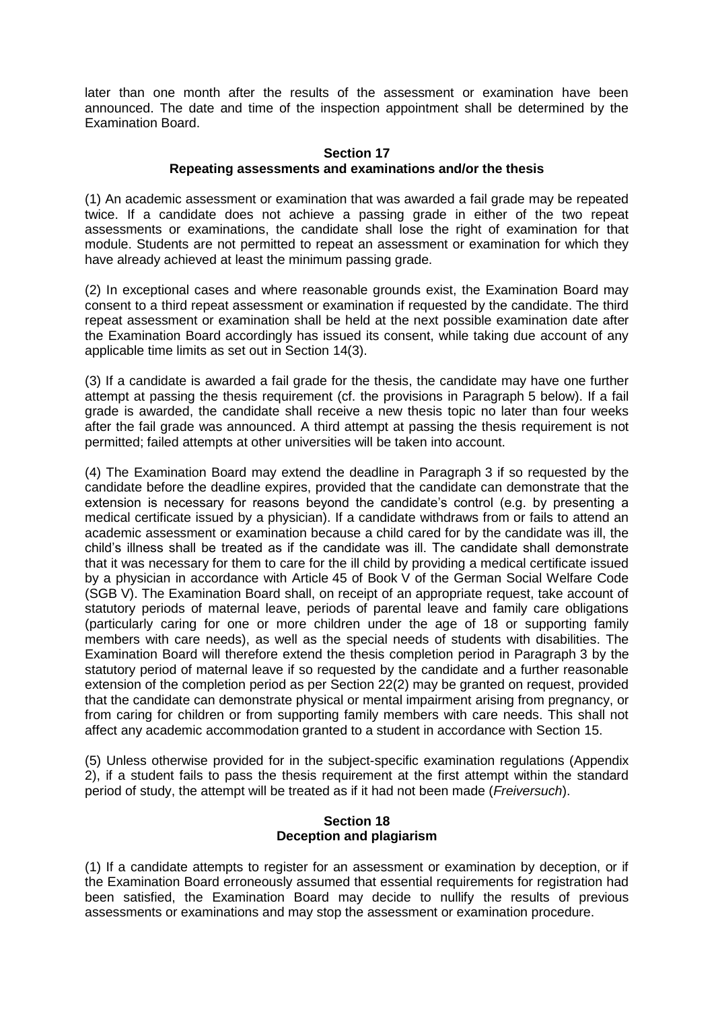later than one month after the results of the assessment or examination have been announced. The date and time of the inspection appointment shall be determined by the Examination Board.

## **Section 17 Repeating assessments and examinations and/or the thesis**

(1) An academic assessment or examination that was awarded a fail grade may be repeated twice. If a candidate does not achieve a passing grade in either of the two repeat assessments or examinations, the candidate shall lose the right of examination for that module. Students are not permitted to repeat an assessment or examination for which they have already achieved at least the minimum passing grade.

(2) In exceptional cases and where reasonable grounds exist, the Examination Board may consent to a third repeat assessment or examination if requested by the candidate. The third repeat assessment or examination shall be held at the next possible examination date after the Examination Board accordingly has issued its consent, while taking due account of any applicable time limits as set out in Section 14(3).

(3) If a candidate is awarded a fail grade for the thesis, the candidate may have one further attempt at passing the thesis requirement (cf. the provisions in Paragraph 5 below). If a fail grade is awarded, the candidate shall receive a new thesis topic no later than four weeks after the fail grade was announced. A third attempt at passing the thesis requirement is not permitted; failed attempts at other universities will be taken into account.

(4) The Examination Board may extend the deadline in Paragraph 3 if so requested by the candidate before the deadline expires, provided that the candidate can demonstrate that the extension is necessary for reasons beyond the candidate's control (e.g. by presenting a medical certificate issued by a physician). If a candidate withdraws from or fails to attend an academic assessment or examination because a child cared for by the candidate was ill, the child's illness shall be treated as if the candidate was ill. The candidate shall demonstrate that it was necessary for them to care for the ill child by providing a medical certificate issued by a physician in accordance with Article 45 of Book V of the German Social Welfare Code (SGB V). The Examination Board shall, on receipt of an appropriate request, take account of statutory periods of maternal leave, periods of parental leave and family care obligations (particularly caring for one or more children under the age of 18 or supporting family members with care needs), as well as the special needs of students with disabilities. The Examination Board will therefore extend the thesis completion period in Paragraph 3 by the statutory period of maternal leave if so requested by the candidate and a further reasonable extension of the completion period as per Section 22(2) may be granted on request, provided that the candidate can demonstrate physical or mental impairment arising from pregnancy, or from caring for children or from supporting family members with care needs. This shall not affect any academic accommodation granted to a student in accordance with Section 15.

(5) Unless otherwise provided for in the subject-specific examination regulations (Appendix 2), if a student fails to pass the thesis requirement at the first attempt within the standard period of study, the attempt will be treated as if it had not been made (*Freiversuch*).

# **Section 18 Deception and plagiarism**

(1) If a candidate attempts to register for an assessment or examination by deception, or if the Examination Board erroneously assumed that essential requirements for registration had been satisfied, the Examination Board may decide to nullify the results of previous assessments or examinations and may stop the assessment or examination procedure.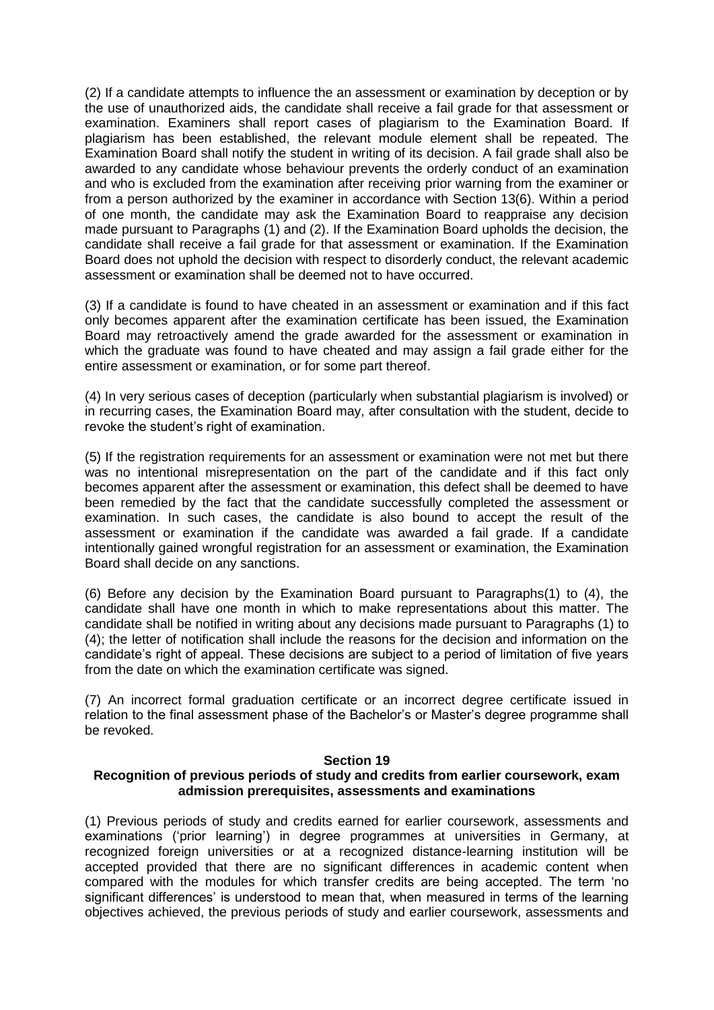(2) If a candidate attempts to influence the an assessment or examination by deception or by the use of unauthorized aids, the candidate shall receive a fail grade for that assessment or examination. Examiners shall report cases of plagiarism to the Examination Board. If plagiarism has been established, the relevant module element shall be repeated. The Examination Board shall notify the student in writing of its decision. A fail grade shall also be awarded to any candidate whose behaviour prevents the orderly conduct of an examination and who is excluded from the examination after receiving prior warning from the examiner or from a person authorized by the examiner in accordance with Section 13(6). Within a period of one month, the candidate may ask the Examination Board to reappraise any decision made pursuant to Paragraphs (1) and (2). If the Examination Board upholds the decision, the candidate shall receive a fail grade for that assessment or examination. If the Examination Board does not uphold the decision with respect to disorderly conduct, the relevant academic assessment or examination shall be deemed not to have occurred.

(3) If a candidate is found to have cheated in an assessment or examination and if this fact only becomes apparent after the examination certificate has been issued, the Examination Board may retroactively amend the grade awarded for the assessment or examination in which the graduate was found to have cheated and may assign a fail grade either for the entire assessment or examination, or for some part thereof.

(4) In very serious cases of deception (particularly when substantial plagiarism is involved) or in recurring cases, the Examination Board may, after consultation with the student, decide to revoke the student's right of examination.

(5) If the registration requirements for an assessment or examination were not met but there was no intentional misrepresentation on the part of the candidate and if this fact only becomes apparent after the assessment or examination, this defect shall be deemed to have been remedied by the fact that the candidate successfully completed the assessment or examination. In such cases, the candidate is also bound to accept the result of the assessment or examination if the candidate was awarded a fail grade. If a candidate intentionally gained wrongful registration for an assessment or examination, the Examination Board shall decide on any sanctions.

(6) Before any decision by the Examination Board pursuant to Paragraphs(1) to (4), the candidate shall have one month in which to make representations about this matter. The candidate shall be notified in writing about any decisions made pursuant to Paragraphs (1) to (4); the letter of notification shall include the reasons for the decision and information on the candidate's right of appeal. These decisions are subject to a period of limitation of five years from the date on which the examination certificate was signed.

(7) An incorrect formal graduation certificate or an incorrect degree certificate issued in relation to the final assessment phase of the Bachelor's or Master's degree programme shall be revoked.

### **Section 19**

### **Recognition of previous periods of study and credits from earlier coursework, exam admission prerequisites, assessments and examinations**

(1) Previous periods of study and credits earned for earlier coursework, assessments and examinations ('prior learning') in degree programmes at universities in Germany, at recognized foreign universities or at a recognized distance-learning institution will be accepted provided that there are no significant differences in academic content when compared with the modules for which transfer credits are being accepted. The term 'no significant differences' is understood to mean that, when measured in terms of the learning objectives achieved, the previous periods of study and earlier coursework, assessments and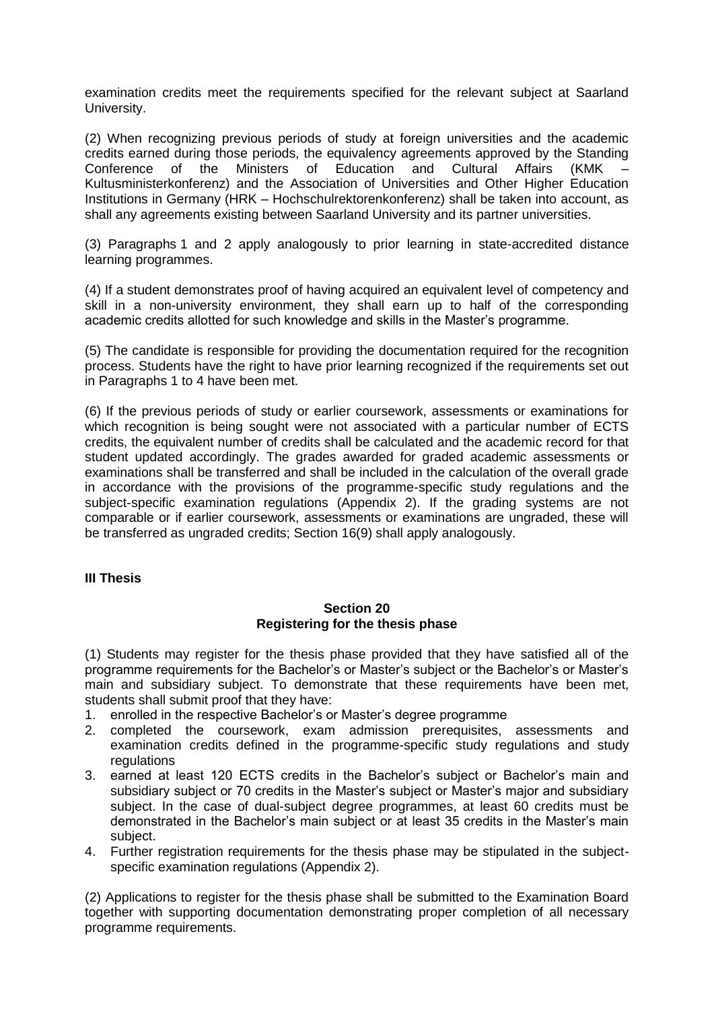examination credits meet the requirements specified for the relevant subject at Saarland University.

(2) When recognizing previous periods of study at foreign universities and the academic credits earned during those periods, the equivalency agreements approved by the Standing Conference of the Ministers of Education and Cultural Affairs (KMK – Kultusministerkonferenz) and the Association of Universities and Other Higher Education Institutions in Germany (HRK – Hochschulrektorenkonferenz) shall be taken into account, as shall any agreements existing between Saarland University and its partner universities.

(3) Paragraphs 1 and 2 apply analogously to prior learning in state-accredited distance learning programmes.

(4) If a student demonstrates proof of having acquired an equivalent level of competency and skill in a non-university environment, they shall earn up to half of the corresponding academic credits allotted for such knowledge and skills in the Master's programme.

(5) The candidate is responsible for providing the documentation required for the recognition process. Students have the right to have prior learning recognized if the requirements set out in Paragraphs 1 to 4 have been met.

(6) If the previous periods of study or earlier coursework, assessments or examinations for which recognition is being sought were not associated with a particular number of ECTS credits, the equivalent number of credits shall be calculated and the academic record for that student updated accordingly. The grades awarded for graded academic assessments or examinations shall be transferred and shall be included in the calculation of the overall grade in accordance with the provisions of the programme-specific study regulations and the subject-specific examination regulations (Appendix 2). If the grading systems are not comparable or if earlier coursework, assessments or examinations are ungraded, these will be transferred as ungraded credits; Section 16(9) shall apply analogously.

# **III Thesis**

### **Section 20 Registering for the thesis phase**

(1) Students may register for the thesis phase provided that they have satisfied all of the programme requirements for the Bachelor's or Master's subject or the Bachelor's or Master's main and subsidiary subject. To demonstrate that these requirements have been met, students shall submit proof that they have:

- 1. enrolled in the respective Bachelor's or Master's degree programme
- 2. completed the coursework, exam admission prerequisites, assessments and examination credits defined in the programme-specific study regulations and study regulations
- 3. earned at least 120 ECTS credits in the Bachelor's subject or Bachelor's main and subsidiary subject or 70 credits in the Master's subject or Master's major and subsidiary subject. In the case of dual-subject degree programmes, at least 60 credits must be demonstrated in the Bachelor's main subject or at least 35 credits in the Master's main subject.
- 4. Further registration requirements for the thesis phase may be stipulated in the subjectspecific examination regulations (Appendix 2).

(2) Applications to register for the thesis phase shall be submitted to the Examination Board together with supporting documentation demonstrating proper completion of all necessary programme requirements.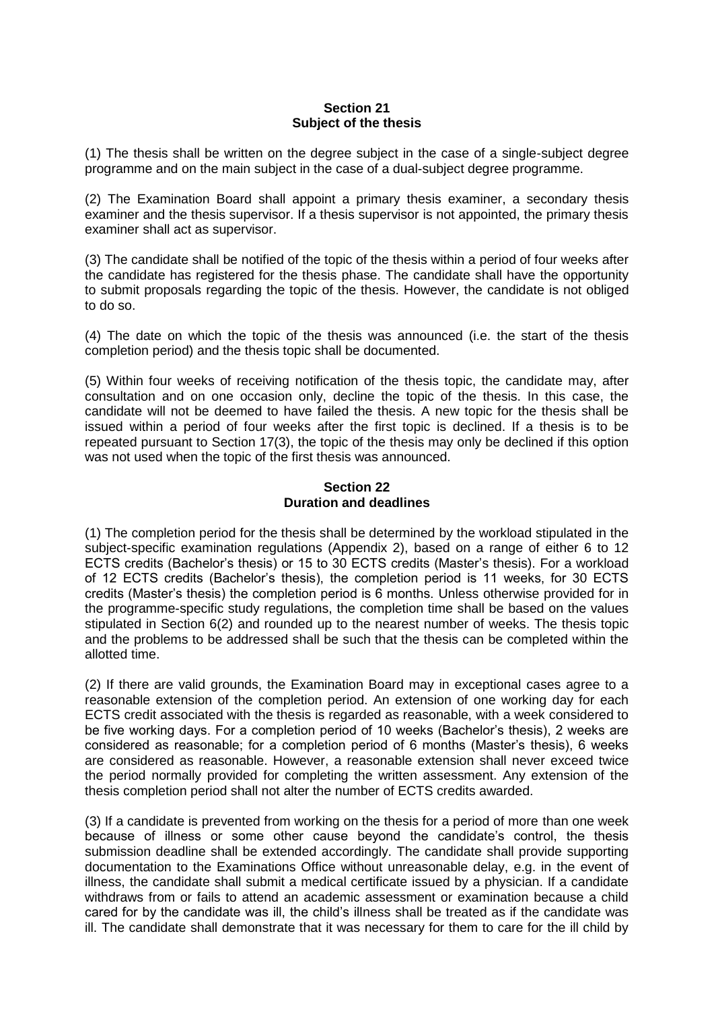## **Section 21 Subject of the thesis**

(1) The thesis shall be written on the degree subject in the case of a single-subject degree programme and on the main subject in the case of a dual-subject degree programme.

(2) The Examination Board shall appoint a primary thesis examiner, a secondary thesis examiner and the thesis supervisor. If a thesis supervisor is not appointed, the primary thesis examiner shall act as supervisor.

(3) The candidate shall be notified of the topic of the thesis within a period of four weeks after the candidate has registered for the thesis phase. The candidate shall have the opportunity to submit proposals regarding the topic of the thesis. However, the candidate is not obliged to do so.

(4) The date on which the topic of the thesis was announced (i.e. the start of the thesis completion period) and the thesis topic shall be documented.

(5) Within four weeks of receiving notification of the thesis topic, the candidate may, after consultation and on one occasion only, decline the topic of the thesis. In this case, the candidate will not be deemed to have failed the thesis. A new topic for the thesis shall be issued within a period of four weeks after the first topic is declined. If a thesis is to be repeated pursuant to Section 17(3), the topic of the thesis may only be declined if this option was not used when the topic of the first thesis was announced.

# **Section 22 Duration and deadlines**

(1) The completion period for the thesis shall be determined by the workload stipulated in the subject-specific examination regulations (Appendix 2), based on a range of either 6 to 12 ECTS credits (Bachelor's thesis) or 15 to 30 ECTS credits (Master's thesis). For a workload of 12 ECTS credits (Bachelor's thesis), the completion period is 11 weeks, for 30 ECTS credits (Master's thesis) the completion period is 6 months. Unless otherwise provided for in the programme-specific study regulations, the completion time shall be based on the values stipulated in Section 6(2) and rounded up to the nearest number of weeks. The thesis topic and the problems to be addressed shall be such that the thesis can be completed within the allotted time.

(2) If there are valid grounds, the Examination Board may in exceptional cases agree to a reasonable extension of the completion period. An extension of one working day for each ECTS credit associated with the thesis is regarded as reasonable, with a week considered to be five working days. For a completion period of 10 weeks (Bachelor's thesis), 2 weeks are considered as reasonable; for a completion period of 6 months (Master's thesis), 6 weeks are considered as reasonable. However, a reasonable extension shall never exceed twice the period normally provided for completing the written assessment. Any extension of the thesis completion period shall not alter the number of ECTS credits awarded.

(3) If a candidate is prevented from working on the thesis for a period of more than one week because of illness or some other cause beyond the candidate's control, the thesis submission deadline shall be extended accordingly. The candidate shall provide supporting documentation to the Examinations Office without unreasonable delay, e.g. in the event of illness, the candidate shall submit a medical certificate issued by a physician. If a candidate withdraws from or fails to attend an academic assessment or examination because a child cared for by the candidate was ill, the child's illness shall be treated as if the candidate was ill. The candidate shall demonstrate that it was necessary for them to care for the ill child by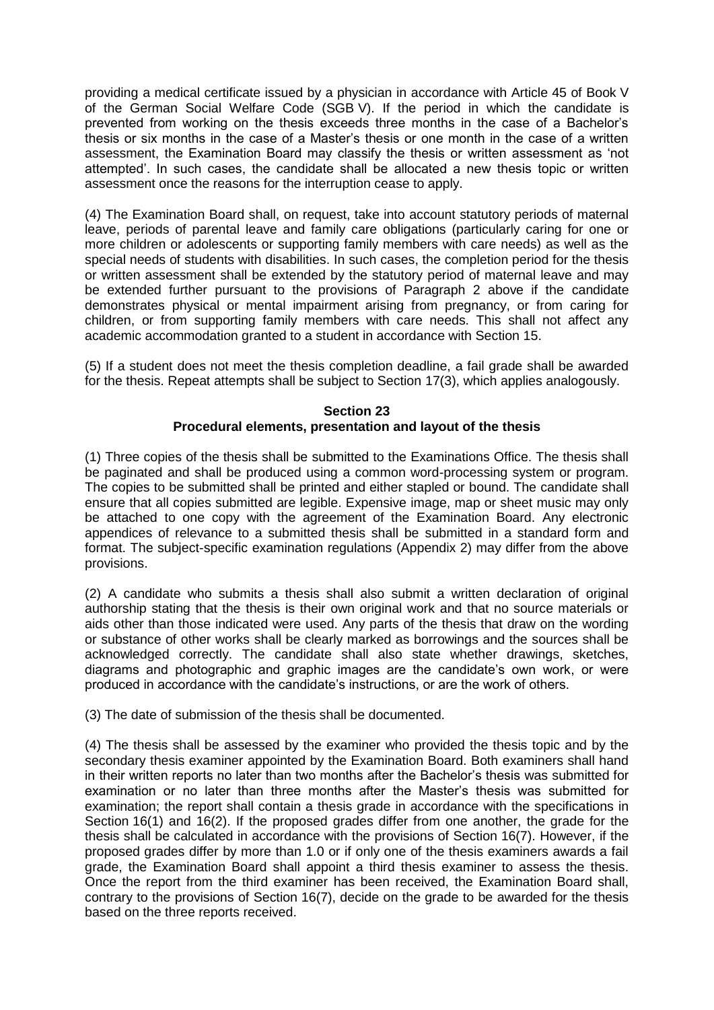providing a medical certificate issued by a physician in accordance with Article 45 of Book V of the German Social Welfare Code (SGB V). If the period in which the candidate is prevented from working on the thesis exceeds three months in the case of a Bachelor's thesis or six months in the case of a Master's thesis or one month in the case of a written assessment, the Examination Board may classify the thesis or written assessment as 'not attempted'. In such cases, the candidate shall be allocated a new thesis topic or written assessment once the reasons for the interruption cease to apply.

(4) The Examination Board shall, on request, take into account statutory periods of maternal leave, periods of parental leave and family care obligations (particularly caring for one or more children or adolescents or supporting family members with care needs) as well as the special needs of students with disabilities. In such cases, the completion period for the thesis or written assessment shall be extended by the statutory period of maternal leave and may be extended further pursuant to the provisions of Paragraph 2 above if the candidate demonstrates physical or mental impairment arising from pregnancy, or from caring for children, or from supporting family members with care needs. This shall not affect any academic accommodation granted to a student in accordance with Section 15.

(5) If a student does not meet the thesis completion deadline, a fail grade shall be awarded for the thesis. Repeat attempts shall be subject to Section 17(3), which applies analogously.

#### **Section 23 Procedural elements, presentation and layout of the thesis**

(1) Three copies of the thesis shall be submitted to the Examinations Office. The thesis shall be paginated and shall be produced using a common word-processing system or program. The copies to be submitted shall be printed and either stapled or bound. The candidate shall ensure that all copies submitted are legible. Expensive image, map or sheet music may only be attached to one copy with the agreement of the Examination Board. Any electronic appendices of relevance to a submitted thesis shall be submitted in a standard form and format. The subject-specific examination regulations (Appendix 2) may differ from the above provisions.

(2) A candidate who submits a thesis shall also submit a written declaration of original authorship stating that the thesis is their own original work and that no source materials or aids other than those indicated were used. Any parts of the thesis that draw on the wording or substance of other works shall be clearly marked as borrowings and the sources shall be acknowledged correctly. The candidate shall also state whether drawings, sketches, diagrams and photographic and graphic images are the candidate's own work, or were produced in accordance with the candidate's instructions, or are the work of others.

(3) The date of submission of the thesis shall be documented.

(4) The thesis shall be assessed by the examiner who provided the thesis topic and by the secondary thesis examiner appointed by the Examination Board. Both examiners shall hand in their written reports no later than two months after the Bachelor's thesis was submitted for examination or no later than three months after the Master's thesis was submitted for examination; the report shall contain a thesis grade in accordance with the specifications in Section 16(1) and 16(2). If the proposed grades differ from one another, the grade for the thesis shall be calculated in accordance with the provisions of Section 16(7). However, if the proposed grades differ by more than 1.0 or if only one of the thesis examiners awards a fail grade, the Examination Board shall appoint a third thesis examiner to assess the thesis. Once the report from the third examiner has been received, the Examination Board shall, contrary to the provisions of Section 16(7), decide on the grade to be awarded for the thesis based on the three reports received.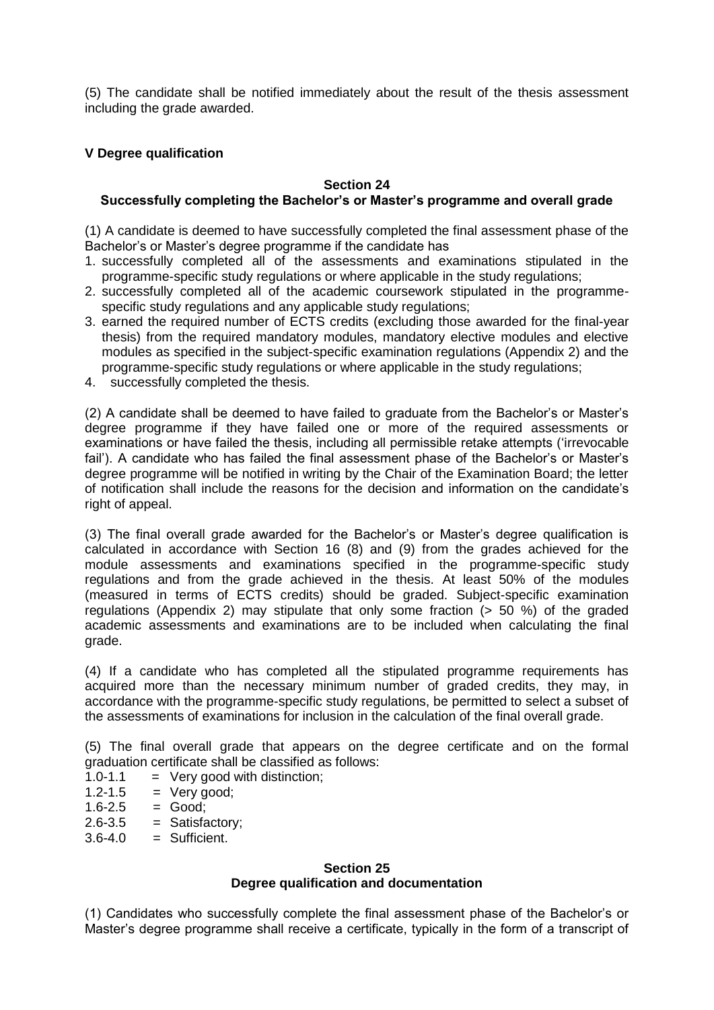(5) The candidate shall be notified immediately about the result of the thesis assessment including the grade awarded.

# **V Degree qualification**

# **Section 24**

# **Successfully completing the Bachelor's or Master's programme and overall grade**

(1) A candidate is deemed to have successfully completed the final assessment phase of the Bachelor's or Master's degree programme if the candidate has

- 1. successfully completed all of the assessments and examinations stipulated in the programme-specific study regulations or where applicable in the study regulations;
- 2. successfully completed all of the academic coursework stipulated in the programmespecific study regulations and any applicable study regulations;
- 3. earned the required number of ECTS credits (excluding those awarded for the final-year thesis) from the required mandatory modules, mandatory elective modules and elective modules as specified in the subject-specific examination regulations (Appendix 2) and the programme-specific study regulations or where applicable in the study regulations;
- 4. successfully completed the thesis.

(2) A candidate shall be deemed to have failed to graduate from the Bachelor's or Master's degree programme if they have failed one or more of the required assessments or examinations or have failed the thesis, including all permissible retake attempts ('irrevocable fail'). A candidate who has failed the final assessment phase of the Bachelor's or Master's degree programme will be notified in writing by the Chair of the Examination Board; the letter of notification shall include the reasons for the decision and information on the candidate's right of appeal.

(3) The final overall grade awarded for the Bachelor's or Master's degree qualification is calculated in accordance with Section 16 (8) and (9) from the grades achieved for the module assessments and examinations specified in the programme-specific study regulations and from the grade achieved in the thesis. At least 50% of the modules (measured in terms of ECTS credits) should be graded. Subject-specific examination regulations (Appendix 2) may stipulate that only some fraction (> 50 %) of the graded academic assessments and examinations are to be included when calculating the final grade.

(4) If a candidate who has completed all the stipulated programme requirements has acquired more than the necessary minimum number of graded credits, they may, in accordance with the programme-specific study regulations, be permitted to select a subset of the assessments of examinations for inclusion in the calculation of the final overall grade.

(5) The final overall grade that appears on the degree certificate and on the formal graduation certificate shall be classified as follows:

- $1.0-1.1$  = Very good with distinction;
- $1.2 1.5$  = Very good;
- $1.6 2.5$  = Good;
- $2.6 3.5$  = Satisfactory;
- 3.6-4.0 = Sufficient.

### **Section 25 Degree qualification and documentation**

(1) Candidates who successfully complete the final assessment phase of the Bachelor's or Master's degree programme shall receive a certificate, typically in the form of a transcript of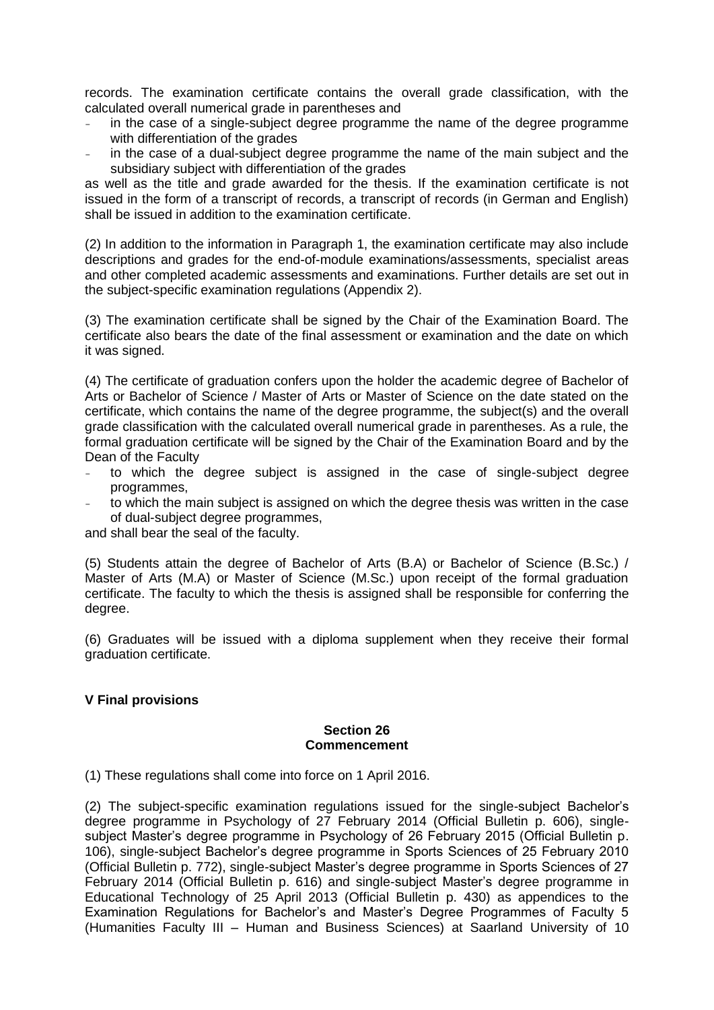records. The examination certificate contains the overall grade classification, with the calculated overall numerical grade in parentheses and

- in the case of a single-subject degree programme the name of the degree programme with differentiation of the grades
- in the case of a dual-subject degree programme the name of the main subject and the subsidiary subject with differentiation of the grades

as well as the title and grade awarded for the thesis. If the examination certificate is not issued in the form of a transcript of records, a transcript of records (in German and English) shall be issued in addition to the examination certificate.

(2) In addition to the information in Paragraph 1, the examination certificate may also include descriptions and grades for the end-of-module examinations/assessments, specialist areas and other completed academic assessments and examinations. Further details are set out in the subject-specific examination regulations (Appendix 2).

(3) The examination certificate shall be signed by the Chair of the Examination Board. The certificate also bears the date of the final assessment or examination and the date on which it was signed.

(4) The certificate of graduation confers upon the holder the academic degree of Bachelor of Arts or Bachelor of Science / Master of Arts or Master of Science on the date stated on the certificate, which contains the name of the degree programme, the subject(s) and the overall grade classification with the calculated overall numerical grade in parentheses. As a rule, the formal graduation certificate will be signed by the Chair of the Examination Board and by the Dean of the Faculty

- to which the degree subject is assigned in the case of single-subject degree programmes,
- to which the main subject is assigned on which the degree thesis was written in the case of dual-subject degree programmes,

and shall bear the seal of the faculty.

(5) Students attain the degree of Bachelor of Arts (B.A) or Bachelor of Science (B.Sc.) / Master of Arts (M.A) or Master of Science (M.Sc.) upon receipt of the formal graduation certificate. The faculty to which the thesis is assigned shall be responsible for conferring the degree.

(6) Graduates will be issued with a diploma supplement when they receive their formal graduation certificate.

# **V Final provisions**

#### **Section 26 Commencement**

(1) These regulations shall come into force on 1 April 2016.

(2) The subject-specific examination regulations issued for the single-subject Bachelor's degree programme in Psychology of 27 February 2014 (Official Bulletin p. 606), singlesubject Master's degree programme in Psychology of 26 February 2015 (Official Bulletin p. 106), single-subject Bachelor's degree programme in Sports Sciences of 25 February 2010 (Official Bulletin p. 772), single-subject Master's degree programme in Sports Sciences of 27 February 2014 (Official Bulletin p. 616) and single-subject Master's degree programme in Educational Technology of 25 April 2013 (Official Bulletin p. 430) as appendices to the Examination Regulations for Bachelor's and Master's Degree Programmes of Faculty 5 (Humanities Faculty III – Human and Business Sciences) at Saarland University of 10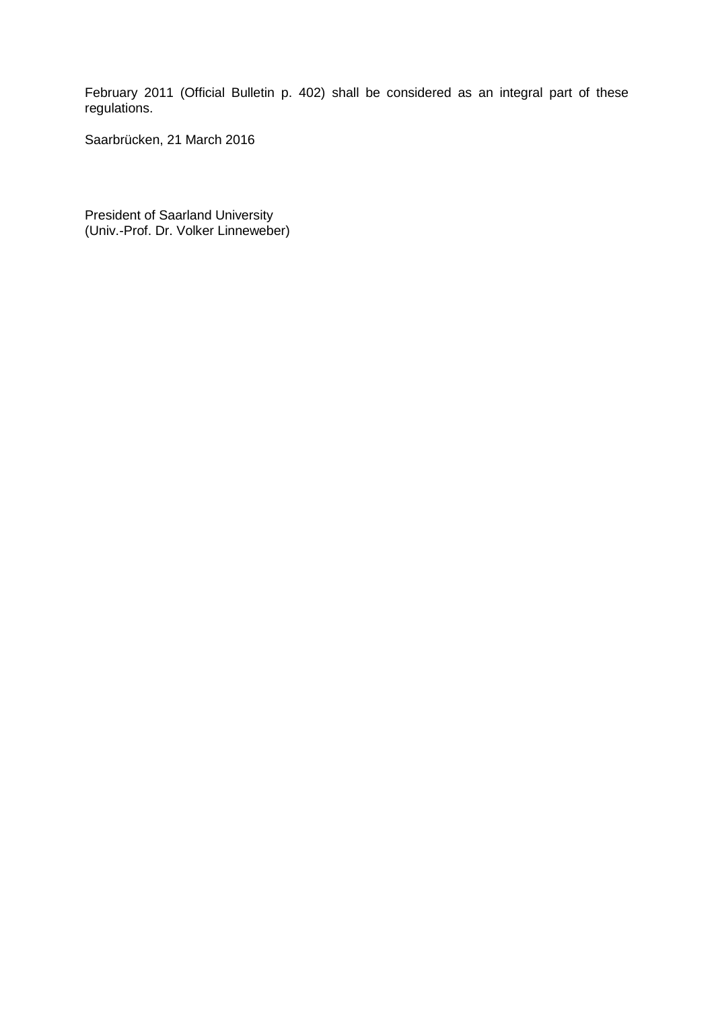February 2011 (Official Bulletin p. 402) shall be considered as an integral part of these regulations.

Saarbrücken, 21 March 2016

President of Saarland University (Univ.-Prof. Dr. Volker Linneweber)